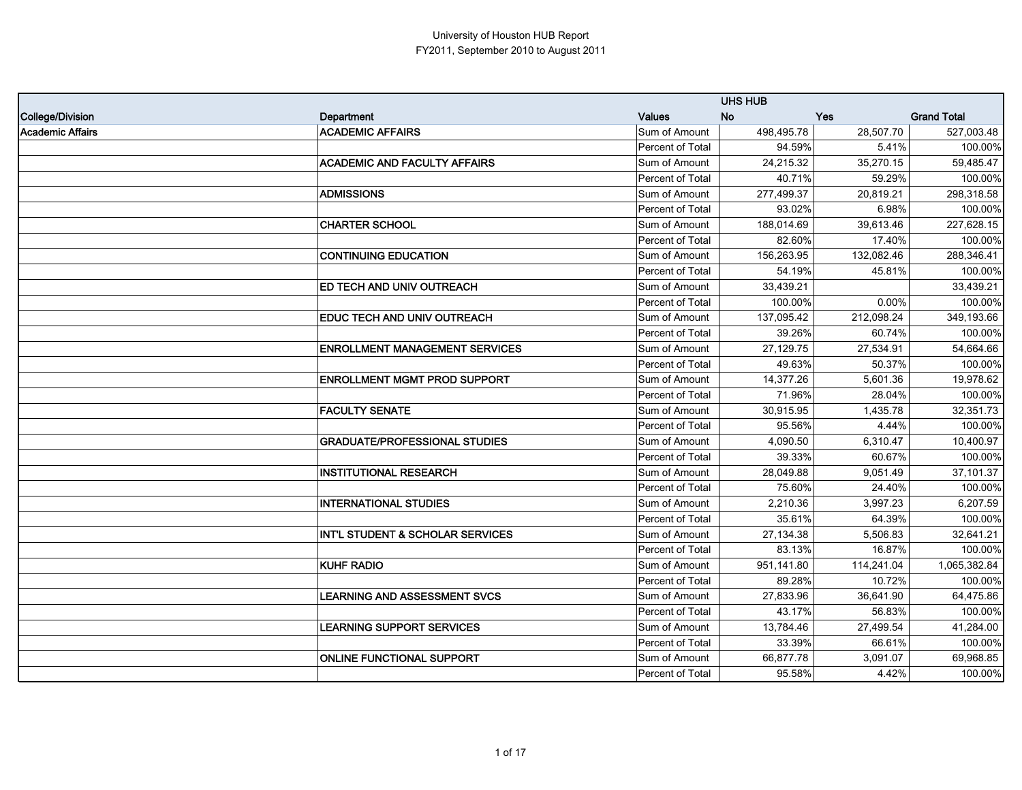|                         |                                             |                         | <b>UHS HUB</b> |            |                    |
|-------------------------|---------------------------------------------|-------------------------|----------------|------------|--------------------|
| College/Division        | Department                                  | <b>Values</b>           | <b>No</b>      | Yes        | <b>Grand Total</b> |
| <b>Academic Affairs</b> | <b>ACADEMIC AFFAIRS</b>                     | Sum of Amount           | 498,495.78     | 28,507.70  | 527,003.48         |
|                         |                                             | Percent of Total        | 94.59%         | 5.41%      | 100.00%            |
|                         | <b>ACADEMIC AND FACULTY AFFAIRS</b>         | Sum of Amount           | 24,215.32      | 35,270.15  | 59,485.47          |
|                         |                                             | Percent of Total        | 40.71%         | 59.29%     | 100.00%            |
|                         | <b>ADMISSIONS</b>                           | Sum of Amount           | 277,499.37     | 20,819.21  | 298,318.58         |
|                         |                                             | <b>Percent of Total</b> | 93.02%         | 6.98%      | 100.00%            |
|                         | <b>CHARTER SCHOOL</b>                       | Sum of Amount           | 188,014.69     | 39,613.46  | 227,628.15         |
|                         |                                             | <b>Percent of Total</b> | 82.60%         | 17.40%     | 100.00%            |
|                         | <b>CONTINUING EDUCATION</b>                 | Sum of Amount           | 156,263.95     | 132,082.46 | 288,346.41         |
|                         |                                             | <b>Percent of Total</b> | 54.19%         | 45.81%     | 100.00%            |
|                         | <b>ED TECH AND UNIV OUTREACH</b>            | Sum of Amount           | 33,439.21      |            | 33,439.21          |
|                         |                                             | <b>Percent of Total</b> | 100.00%        | 0.00%      | 100.00%            |
|                         | <b>EDUC TECH AND UNIV OUTREACH</b>          | Sum of Amount           | 137,095.42     | 212,098.24 | 349,193.66         |
|                         |                                             | <b>Percent of Total</b> | 39.26%         | 60.74%     | 100.00%            |
|                         | <b>ENROLLMENT MANAGEMENT SERVICES</b>       | Sum of Amount           | 27,129.75      | 27,534.91  | 54,664.66          |
|                         |                                             | Percent of Total        | 49.63%         | 50.37%     | 100.00%            |
|                         | <b>ENROLLMENT MGMT PROD SUPPORT</b>         | Sum of Amount           | 14,377.26      | 5,601.36   | 19.978.62          |
|                         |                                             | Percent of Total        | 71.96%         | 28.04%     | 100.00%            |
|                         | <b>FACULTY SENATE</b>                       | Sum of Amount           | 30,915.95      | 1,435.78   | 32,351.73          |
|                         |                                             | Percent of Total        | 95.56%         | 4.44%      | 100.00%            |
|                         | <b>GRADUATE/PROFESSIONAL STUDIES</b>        | Sum of Amount           | 4,090.50       | 6,310.47   | 10,400.97          |
|                         |                                             | <b>Percent of Total</b> | 39.33%         | 60.67%     | 100.00%            |
|                         | <b>INSTITUTIONAL RESEARCH</b>               | Sum of Amount           | 28,049.88      | 9,051.49   | 37,101.37          |
|                         |                                             | Percent of Total        | 75.60%         | 24.40%     | 100.00%            |
|                         | <b>INTERNATIONAL STUDIES</b>                | Sum of Amount           | 2,210.36       | 3,997.23   | 6,207.59           |
|                         |                                             | Percent of Total        | 35.61%         | 64.39%     | 100.00%            |
|                         | <b>INT'L STUDENT &amp; SCHOLAR SERVICES</b> | Sum of Amount           | 27,134.38      | 5,506.83   | 32,641.21          |
|                         |                                             | Percent of Total        | 83.13%         | 16.87%     | 100.00%            |
|                         | <b>KUHF RADIO</b>                           | Sum of Amount           | 951,141.80     | 114,241.04 | 1,065,382.84       |
|                         |                                             | Percent of Total        | 89.28%         | 10.72%     | 100.00%            |
|                         | <b>LEARNING AND ASSESSMENT SVCS</b>         | Sum of Amount           | 27,833.96      | 36,641.90  | 64,475.86          |
|                         |                                             | Percent of Total        | 43.17%         | 56.83%     | 100.00%            |
|                         | <b>LEARNING SUPPORT SERVICES</b>            | Sum of Amount           | 13,784.46      | 27,499.54  | 41,284.00          |
|                         |                                             | Percent of Total        | 33.39%         | 66.61%     | 100.00%            |
|                         | <b>ONLINE FUNCTIONAL SUPPORT</b>            | Sum of Amount           | 66,877.78      | 3,091.07   | 69,968.85          |
|                         |                                             | Percent of Total        | 95.58%         | 4.42%      | 100.00%            |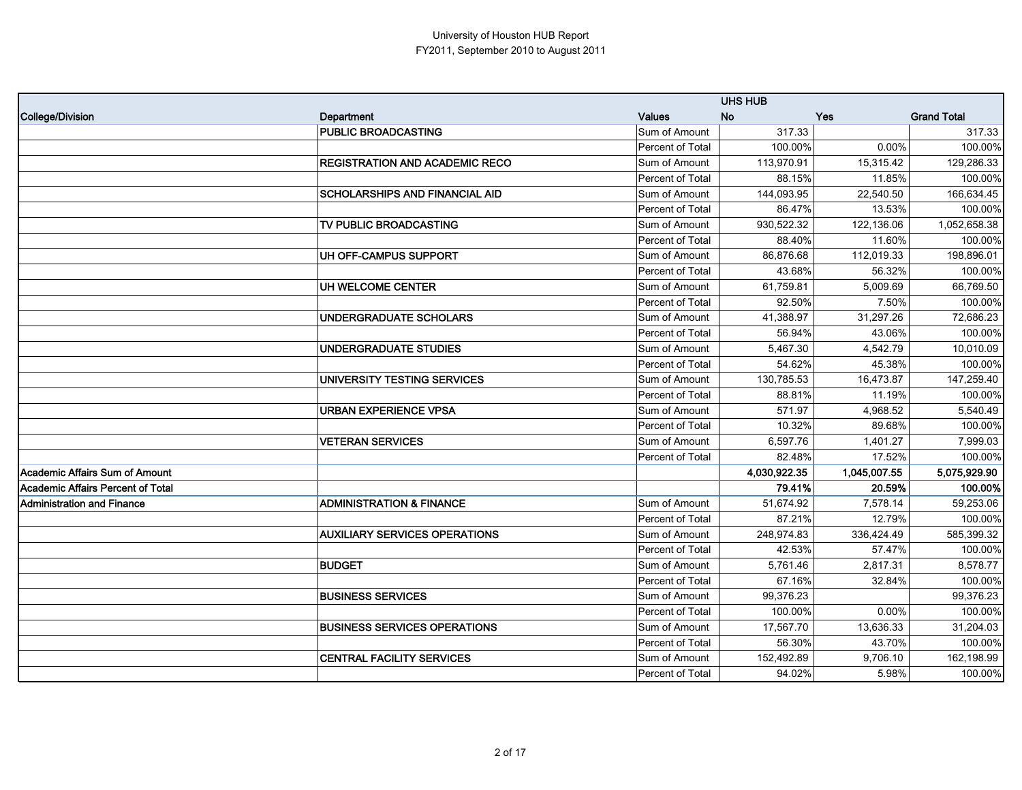|                                          |                                       |                  | <b>UHS HUB</b> |              |                    |
|------------------------------------------|---------------------------------------|------------------|----------------|--------------|--------------------|
| College/Division                         | Department                            | <b>Values</b>    | <b>No</b>      | <b>Yes</b>   | <b>Grand Total</b> |
|                                          | <b>PUBLIC BROADCASTING</b>            | Sum of Amount    | 317.33         |              | 317.33             |
|                                          |                                       | Percent of Total | 100.00%        | 0.00%        | 100.00%            |
|                                          | REGISTRATION AND ACADEMIC RECO        | Sum of Amount    | 113,970.91     | 15,315.42    | 129,286.33         |
|                                          |                                       | Percent of Total | 88.15%         | 11.85%       | 100.00%            |
|                                          | <b>SCHOLARSHIPS AND FINANCIAL AID</b> | Sum of Amount    | 144,093.95     | 22,540.50    | 166,634.45         |
|                                          |                                       | Percent of Total | 86.47%         | 13.53%       | 100.00%            |
|                                          | TV PUBLIC BROADCASTING                | Sum of Amount    | 930,522.32     | 122,136.06   | 1,052,658.38       |
|                                          |                                       | Percent of Total | 88.40%         | 11.60%       | 100.00%            |
|                                          | UH OFF-CAMPUS SUPPORT                 | Sum of Amount    | 86,876.68      | 112,019.33   | 198,896.01         |
|                                          |                                       | Percent of Total | 43.68%         | 56.32%       | 100.00%            |
|                                          | UH WELCOME CENTER                     | Sum of Amount    | 61,759.81      | 5,009.69     | 66,769.50          |
|                                          |                                       | Percent of Total | 92.50%         | 7.50%        | 100.00%            |
|                                          | UNDERGRADUATE SCHOLARS                | Sum of Amount    | 41,388.97      | 31,297.26    | 72,686.23          |
|                                          |                                       | Percent of Total | 56.94%         | 43.06%       | 100.00%            |
|                                          | <b>UNDERGRADUATE STUDIES</b>          | Sum of Amount    | 5,467.30       | 4,542.79     | 10,010.09          |
|                                          |                                       | Percent of Total | 54.62%         | 45.38%       | 100.00%            |
|                                          | UNIVERSITY TESTING SERVICES           | Sum of Amount    | 130,785.53     | 16,473.87    | 147,259.40         |
|                                          |                                       | Percent of Total | 88.81%         | 11.19%       | 100.00%            |
|                                          | URBAN EXPERIENCE VPSA                 | Sum of Amount    | 571.97         | 4,968.52     | 5,540.49           |
|                                          |                                       | Percent of Total | 10.32%         | 89.68%       | 100.00%            |
|                                          | <b>VETERAN SERVICES</b>               | Sum of Amount    | 6,597.76       | 1,401.27     | 7,999.03           |
|                                          |                                       | Percent of Total | 82.48%         | 17.52%       | 100.00%            |
| <b>Academic Affairs Sum of Amount</b>    |                                       |                  | 4,030,922.35   | 1,045,007.55 | 5,075,929.90       |
| <b>Academic Affairs Percent of Total</b> |                                       |                  | 79.41%         | 20.59%       | 100.00%            |
| Administration and Finance               | <b>ADMINISTRATION &amp; FINANCE</b>   | Sum of Amount    | 51,674.92      | 7,578.14     | 59,253.06          |
|                                          |                                       | Percent of Total | 87.21%         | 12.79%       | 100.00%            |
|                                          | <b>AUXILIARY SERVICES OPERATIONS</b>  | Sum of Amount    | 248,974.83     | 336,424.49   | 585,399.32         |
|                                          |                                       | Percent of Total | 42.53%         | 57.47%       | 100.00%            |
|                                          | <b>BUDGET</b>                         | Sum of Amount    | 5,761.46       | 2,817.31     | 8,578.77           |
|                                          |                                       | Percent of Total | 67.16%         | 32.84%       | 100.00%            |
|                                          | <b>BUSINESS SERVICES</b>              | Sum of Amount    | 99,376.23      |              | 99,376.23          |
|                                          |                                       | Percent of Total | 100.00%        | 0.00%        | 100.00%            |
|                                          | <b>BUSINESS SERVICES OPERATIONS</b>   | Sum of Amount    | 17,567.70      | 13,636.33    | 31,204.03          |
|                                          |                                       | Percent of Total | 56.30%         | 43.70%       | 100.00%            |
|                                          | <b>CENTRAL FACILITY SERVICES</b>      | Sum of Amount    | 152,492.89     | 9,706.10     | 162,198.99         |
|                                          |                                       | Percent of Total | 94.02%         | 5.98%        | 100.00%            |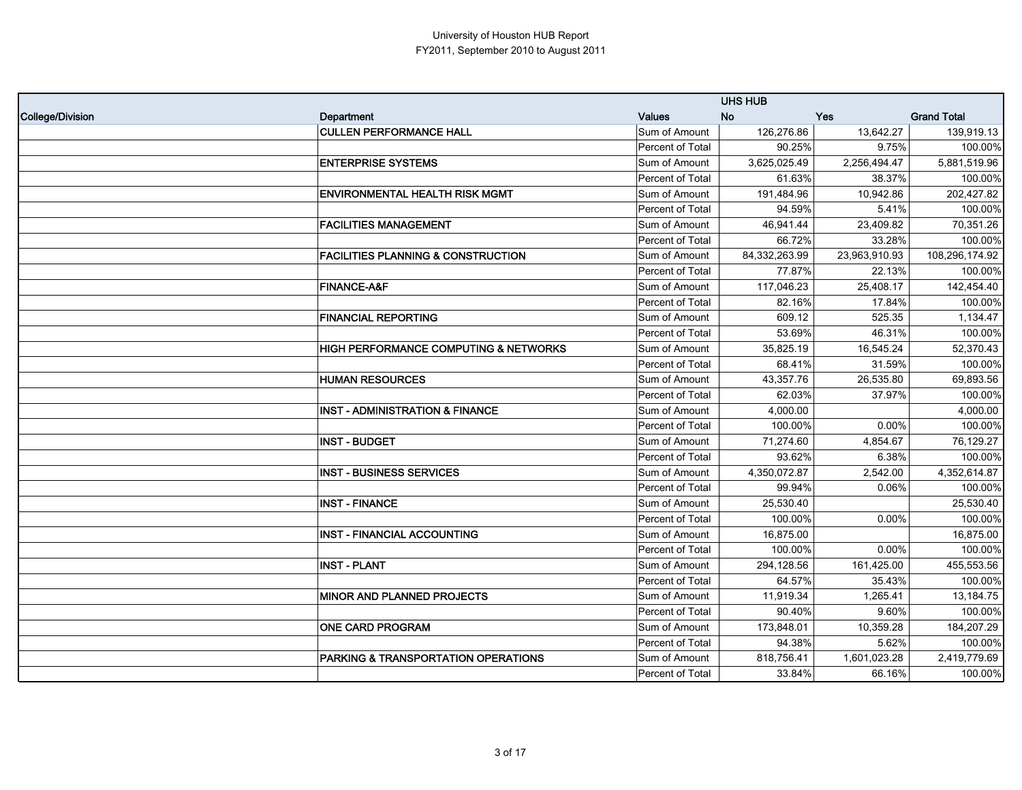|                  |                                                  |                  | <b>UHS HUB</b> |               |                    |
|------------------|--------------------------------------------------|------------------|----------------|---------------|--------------------|
| College/Division | Department                                       | <b>Values</b>    | <b>No</b>      | <b>Yes</b>    | <b>Grand Total</b> |
|                  | <b>CULLEN PERFORMANCE HALL</b>                   | Sum of Amount    | 126,276.86     | 13,642.27     | 139,919.13         |
|                  |                                                  | Percent of Total | 90.25%         | 9.75%         | 100.00%            |
|                  | <b>ENTERPRISE SYSTEMS</b>                        | Sum of Amount    | 3,625,025.49   | 2,256,494.47  | 5,881,519.96       |
|                  |                                                  | Percent of Total | 61.63%         | 38.37%        | 100.00%            |
|                  | <b>ENVIRONMENTAL HEALTH RISK MGMT</b>            | Sum of Amount    | 191,484.96     | 10,942.86     | 202,427.82         |
|                  |                                                  | Percent of Total | 94.59%         | 5.41%         | 100.00%            |
|                  | <b>FACILITIES MANAGEMENT</b>                     | Sum of Amount    | 46,941.44      | 23,409.82     | 70,351.26          |
|                  |                                                  | Percent of Total | 66.72%         | 33.28%        | 100.00%            |
|                  | <b>FACILITIES PLANNING &amp; CONSTRUCTION</b>    | Sum of Amount    | 84,332,263.99  | 23,963,910.93 | 108,296,174.92     |
|                  |                                                  | Percent of Total | 77.87%         | 22.13%        | 100.00%            |
|                  | <b>FINANCE-A&amp;F</b>                           | Sum of Amount    | 117,046.23     | 25,408.17     | 142,454.40         |
|                  |                                                  | Percent of Total | 82.16%         | 17.84%        | 100.00%            |
|                  | <b>FINANCIAL REPORTING</b>                       | Sum of Amount    | 609.12         | 525.35        | 1,134.47           |
|                  |                                                  | Percent of Total | 53.69%         | 46.31%        | 100.00%            |
|                  | <b>HIGH PERFORMANCE COMPUTING &amp; NETWORKS</b> | Sum of Amount    | 35,825.19      | 16,545.24     | 52,370.43          |
|                  |                                                  | Percent of Total | 68.41%         | 31.59%        | 100.00%            |
|                  | <b>HUMAN RESOURCES</b>                           | Sum of Amount    | 43,357.76      | 26,535.80     | 69,893.56          |
|                  |                                                  | Percent of Total | 62.03%         | 37.97%        | 100.00%            |
|                  | <b>INST - ADMINISTRATION &amp; FINANCE</b>       | Sum of Amount    | 4,000.00       |               | 4,000.00           |
|                  |                                                  | Percent of Total | 100.00%        | 0.00%         | 100.00%            |
|                  | <b>INST - BUDGET</b>                             | Sum of Amount    | 71,274.60      | 4,854.67      | 76,129.27          |
|                  |                                                  | Percent of Total | 93.62%         | 6.38%         | 100.00%            |
|                  | <b>INST - BUSINESS SERVICES</b>                  | Sum of Amount    | 4,350,072.87   | 2,542.00      | 4,352,614.87       |
|                  |                                                  | Percent of Total | 99.94%         | 0.06%         | 100.00%            |
|                  | <b>INST - FINANCE</b>                            | Sum of Amount    | 25,530.40      |               | 25,530.40          |
|                  |                                                  | Percent of Total | 100.00%        | 0.00%         | 100.00%            |
|                  | <b>INST - FINANCIAL ACCOUNTING</b>               | Sum of Amount    | 16,875.00      |               | 16,875.00          |
|                  |                                                  | Percent of Total | 100.00%        | 0.00%         | 100.00%            |
|                  | <b>INST - PLANT</b>                              | Sum of Amount    | 294,128.56     | 161,425.00    | 455,553.56         |
|                  |                                                  | Percent of Total | 64.57%         | 35.43%        | 100.00%            |
|                  | <b>MINOR AND PLANNED PROJECTS</b>                | Sum of Amount    | 11,919.34      | 1,265.41      | 13,184.75          |
|                  |                                                  | Percent of Total | 90.40%         | 9.60%         | 100.00%            |
|                  | <b>ONE CARD PROGRAM</b>                          | Sum of Amount    | 173,848.01     | 10,359.28     | 184,207.29         |
|                  |                                                  | Percent of Total | 94.38%         | 5.62%         | 100.00%            |
|                  | PARKING & TRANSPORTATION OPERATIONS              | Sum of Amount    | 818,756.41     | 1,601,023.28  | 2,419,779.69       |
|                  |                                                  | Percent of Total | 33.84%         | 66.16%        | 100.00%            |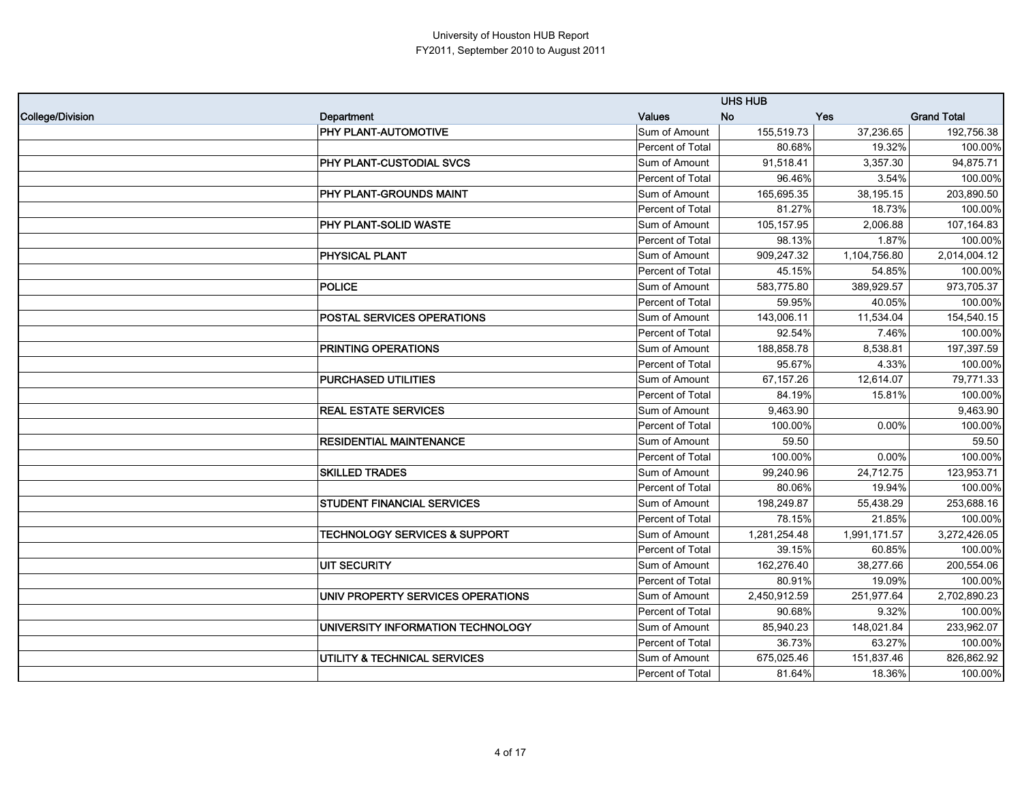|                  |                                          |                  | <b>UHS HUB</b> |              |                    |
|------------------|------------------------------------------|------------------|----------------|--------------|--------------------|
| College/Division | Department                               | <b>Values</b>    | <b>No</b>      | <b>Yes</b>   | <b>Grand Total</b> |
|                  | <b>PHY PLANT-AUTOMOTIVE</b>              | Sum of Amount    | 155,519.73     | 37,236.65    | 192,756.38         |
|                  |                                          | Percent of Total | 80.68%         | 19.32%       | 100.00%            |
|                  | <b>PHY PLANT-CUSTODIAL SVCS</b>          | Sum of Amount    | 91,518.41      | 3,357.30     | 94,875.71          |
|                  |                                          | Percent of Total | 96.46%         | 3.54%        | 100.00%            |
|                  | PHY PLANT-GROUNDS MAINT                  | Sum of Amount    | 165,695.35     | 38,195.15    | 203,890.50         |
|                  |                                          | Percent of Total | 81.27%         | 18.73%       | 100.00%            |
|                  | PHY PLANT-SOLID WASTE                    | Sum of Amount    | 105,157.95     | 2,006.88     | 107,164.83         |
|                  |                                          | Percent of Total | 98.13%         | 1.87%        | 100.00%            |
|                  | <b>PHYSICAL PLANT</b>                    | Sum of Amount    | 909,247.32     | 1,104,756.80 | 2,014,004.12       |
|                  |                                          | Percent of Total | 45.15%         | 54.85%       | 100.00%            |
|                  | POLICE                                   | Sum of Amount    | 583,775.80     | 389,929.57   | 973,705.37         |
|                  |                                          | Percent of Total | 59.95%         | 40.05%       | 100.00%            |
|                  | <b>POSTAL SERVICES OPERATIONS</b>        | Sum of Amount    | 143,006.11     | 11,534.04    | 154,540.15         |
|                  |                                          | Percent of Total | 92.54%         | 7.46%        | 100.00%            |
|                  | PRINTING OPERATIONS                      | Sum of Amount    | 188,858.78     | 8,538.81     | 197,397.59         |
|                  |                                          | Percent of Total | 95.67%         | 4.33%        | 100.00%            |
|                  | <b>PURCHASED UTILITIES</b>               | Sum of Amount    | 67,157.26      | 12,614.07    | 79,771.33          |
|                  |                                          | Percent of Total | 84.19%         | 15.81%       | 100.00%            |
|                  | <b>REAL ESTATE SERVICES</b>              | Sum of Amount    | 9,463.90       |              | 9,463.90           |
|                  |                                          | Percent of Total | 100.00%        | 0.00%        | 100.00%            |
|                  | <b>RESIDENTIAL MAINTENANCE</b>           | Sum of Amount    | 59.50          |              | 59.50              |
|                  |                                          | Percent of Total | 100.00%        | 0.00%        | 100.00%            |
|                  | <b>SKILLED TRADES</b>                    | Sum of Amount    | 99,240.96      | 24,712.75    | 123,953.71         |
|                  |                                          | Percent of Total | 80.06%         | 19.94%       | 100.00%            |
|                  | <b>STUDENT FINANCIAL SERVICES</b>        | Sum of Amount    | 198,249.87     | 55,438.29    | 253,688.16         |
|                  |                                          | Percent of Total | 78.15%         | 21.85%       | 100.00%            |
|                  | <b>TECHNOLOGY SERVICES &amp; SUPPORT</b> | Sum of Amount    | 1,281,254.48   | 1,991,171.57 | 3,272,426.05       |
|                  |                                          | Percent of Total | 39.15%         | 60.85%       | 100.00%            |
|                  | UIT SECURITY                             | Sum of Amount    | 162,276.40     | 38,277.66    | 200,554.06         |
|                  |                                          | Percent of Total | 80.91%         | 19.09%       | 100.00%            |
|                  | UNIV PROPERTY SERVICES OPERATIONS        | Sum of Amount    | 2,450,912.59   | 251,977.64   | 2,702,890.23       |
|                  |                                          | Percent of Total | 90.68%         | 9.32%        | 100.00%            |
|                  | UNIVERSITY INFORMATION TECHNOLOGY        | Sum of Amount    | 85,940.23      | 148,021.84   | 233,962.07         |
|                  |                                          | Percent of Total | 36.73%         | 63.27%       | 100.00%            |
|                  | UTILITY & TECHNICAL SERVICES             | Sum of Amount    | 675,025.46     | 151,837.46   | 826,862.92         |
|                  |                                          | Percent of Total | 81.64%         | 18.36%       | 100.00%            |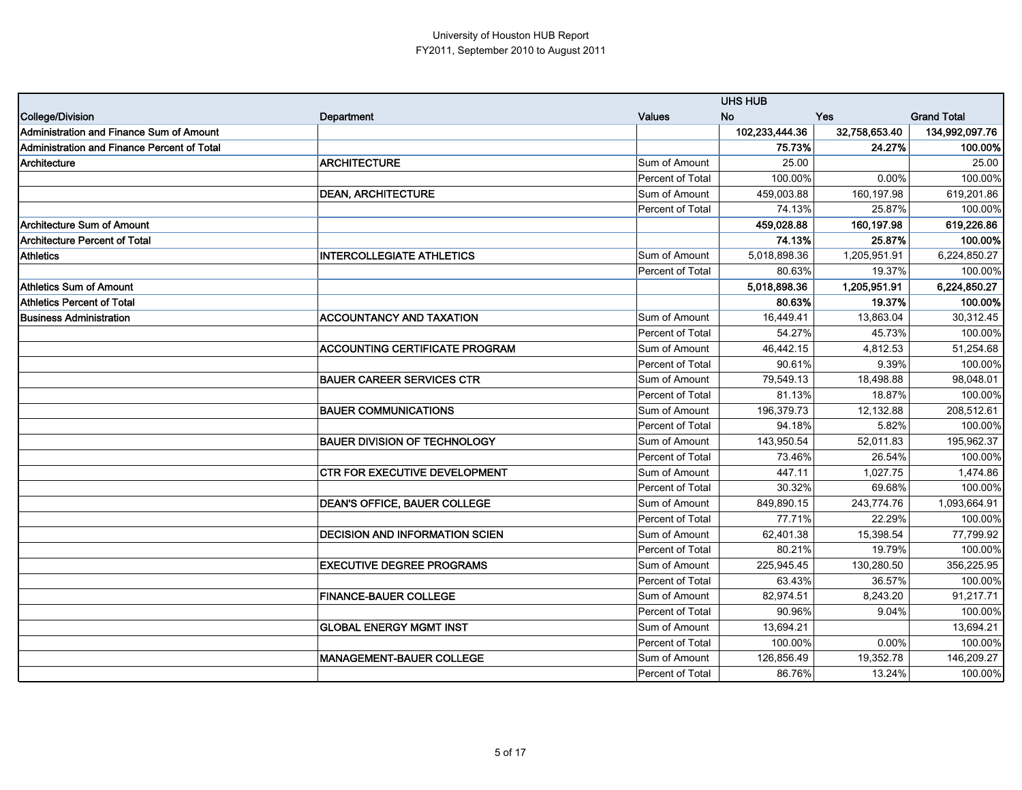|                                                    |                                       |                  | <b>UHS HUB</b> |               |                    |
|----------------------------------------------------|---------------------------------------|------------------|----------------|---------------|--------------------|
| College/Division                                   | Department                            | Values           | <b>No</b>      | <b>Yes</b>    | <b>Grand Total</b> |
| <b>Administration and Finance Sum of Amount</b>    |                                       |                  | 102,233,444.36 | 32,758,653.40 | 134,992,097.76     |
| <b>Administration and Finance Percent of Total</b> |                                       |                  | 75.73%         | 24.27%        | 100.00%            |
| Architecture                                       | <b>ARCHITECTURE</b>                   | Sum of Amount    | 25.00          |               | 25.00              |
|                                                    |                                       | Percent of Total | 100.00%        | 0.00%         | 100.00%            |
|                                                    | <b>DEAN, ARCHITECTURE</b>             | Sum of Amount    | 459,003.88     | 160,197.98    | 619,201.86         |
|                                                    |                                       | Percent of Total | 74.13%         | 25.87%        | 100.00%            |
| <b>Architecture Sum of Amount</b>                  |                                       |                  | 459,028.88     | 160,197.98    | 619,226.86         |
| <b>Architecture Percent of Total</b>               |                                       |                  | 74.13%         | 25.87%        | 100.00%            |
| <b>Athletics</b>                                   | <b>INTERCOLLEGIATE ATHLETICS</b>      | Sum of Amount    | 5,018,898.36   | 1,205,951.91  | 6,224,850.27       |
|                                                    |                                       | Percent of Total | 80.63%         | 19.37%        | 100.00%            |
| <b>Athletics Sum of Amount</b>                     |                                       |                  | 5,018,898.36   | 1,205,951.91  | 6,224,850.27       |
| <b>Athletics Percent of Total</b>                  |                                       |                  | 80.63%         | 19.37%        | 100.00%            |
| <b>Business Administration</b>                     | <b>ACCOUNTANCY AND TAXATION</b>       | Sum of Amount    | 16,449.41      | 13,863.04     | 30,312.45          |
|                                                    |                                       | Percent of Total | 54.27%         | 45.73%        | 100.00%            |
|                                                    | <b>ACCOUNTING CERTIFICATE PROGRAM</b> | Sum of Amount    | 46,442.15      | 4,812.53      | 51,254.68          |
|                                                    |                                       | Percent of Total | 90.61%         | 9.39%         | 100.00%            |
|                                                    | <b>BAUER CAREER SERVICES CTR</b>      | Sum of Amount    | 79,549.13      | 18,498.88     | 98,048.01          |
|                                                    |                                       | Percent of Total | 81.13%         | 18.87%        | 100.00%            |
|                                                    | <b>BAUER COMMUNICATIONS</b>           | Sum of Amount    | 196,379.73     | 12,132.88     | 208,512.61         |
|                                                    |                                       | Percent of Total | 94.18%         | 5.82%         | 100.00%            |
|                                                    | <b>BAUER DIVISION OF TECHNOLOGY</b>   | Sum of Amount    | 143,950.54     | 52,011.83     | 195,962.37         |
|                                                    |                                       | Percent of Total | 73.46%         | 26.54%        | 100.00%            |
|                                                    | <b>CTR FOR EXECUTIVE DEVELOPMENT</b>  | Sum of Amount    | 447.11         | 1,027.75      | 1,474.86           |
|                                                    |                                       | Percent of Total | 30.32%         | 69.68%        | 100.00%            |
|                                                    | <b>DEAN'S OFFICE, BAUER COLLEGE</b>   | Sum of Amount    | 849,890.15     | 243,774.76    | 1,093,664.91       |
|                                                    |                                       | Percent of Total | 77.71%         | 22.29%        | 100.00%            |
|                                                    | <b>DECISION AND INFORMATION SCIEN</b> | Sum of Amount    | 62,401.38      | 15,398.54     | 77,799.92          |
|                                                    |                                       | Percent of Total | 80.21%         | 19.79%        | 100.00%            |
|                                                    | <b>EXECUTIVE DEGREE PROGRAMS</b>      | Sum of Amount    | 225,945.45     | 130,280.50    | 356,225.95         |
|                                                    |                                       | Percent of Total | 63.43%         | 36.57%        | 100.00%            |
|                                                    | <b>FINANCE-BAUER COLLEGE</b>          | Sum of Amount    | 82,974.51      | 8,243.20      | 91,217.71          |
|                                                    |                                       | Percent of Total | 90.96%         | 9.04%         | 100.00%            |
|                                                    | <b>GLOBAL ENERGY MGMT INST</b>        | Sum of Amount    | 13,694.21      |               | 13,694.21          |
|                                                    |                                       | Percent of Total | 100.00%        | 0.00%         | 100.00%            |
|                                                    | <b>MANAGEMENT-BAUER COLLEGE</b>       | Sum of Amount    | 126,856.49     | 19,352.78     | 146,209.27         |
|                                                    |                                       | Percent of Total | 86.76%         | 13.24%        | 100.00%            |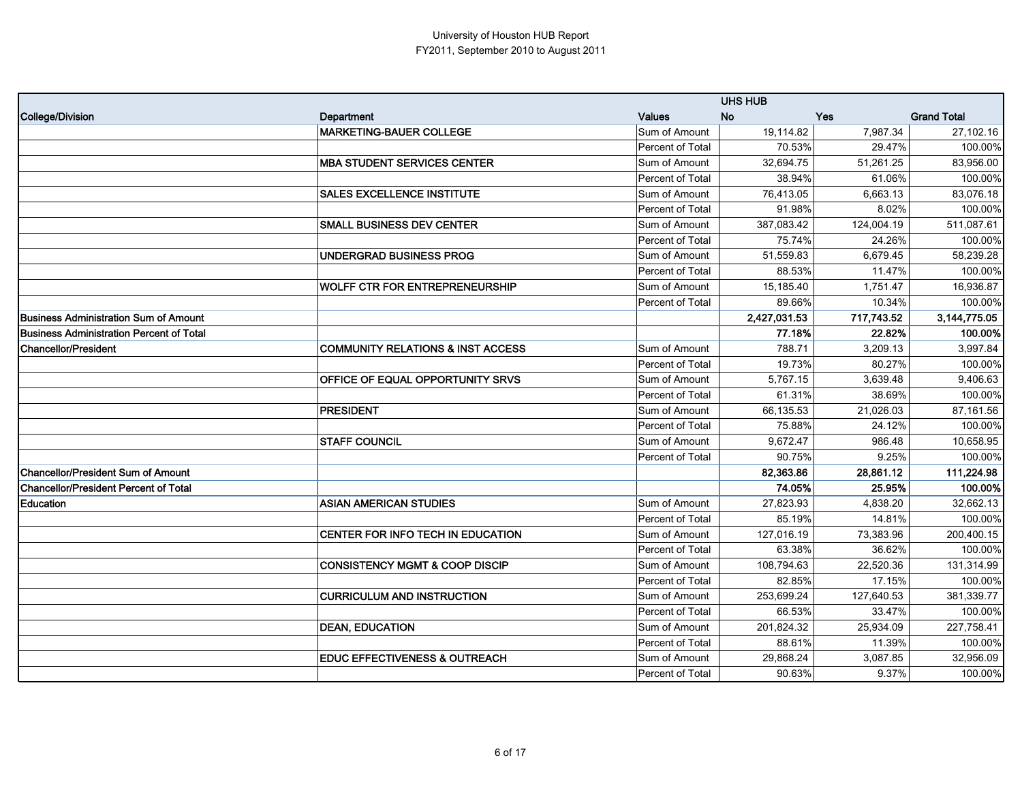|                                                 |                                              |                  | <b>UHS HUB</b> |            |                    |
|-------------------------------------------------|----------------------------------------------|------------------|----------------|------------|--------------------|
| College/Division                                | Department                                   | <b>Values</b>    | <b>No</b>      | <b>Yes</b> | <b>Grand Total</b> |
|                                                 | <b>MARKETING-BAUER COLLEGE</b>               | Sum of Amount    | 19,114.82      | 7,987.34   | 27,102.16          |
|                                                 |                                              | Percent of Total | 70.53%         | 29.47%     | 100.00%            |
|                                                 | <b>MBA STUDENT SERVICES CENTER</b>           | Sum of Amount    | 32,694.75      | 51,261.25  | 83,956.00          |
|                                                 |                                              | Percent of Total | 38.94%         | 61.06%     | 100.00%            |
|                                                 | <b>SALES EXCELLENCE INSTITUTE</b>            | Sum of Amount    | 76,413.05      | 6,663.13   | 83,076.18          |
|                                                 |                                              | Percent of Total | 91.98%         | 8.02%      | 100.00%            |
|                                                 | <b>SMALL BUSINESS DEV CENTER</b>             | Sum of Amount    | 387,083.42     | 124,004.19 | 511,087.61         |
|                                                 |                                              | Percent of Total | 75.74%         | 24.26%     | 100.00%            |
|                                                 | UNDERGRAD BUSINESS PROG                      | Sum of Amount    | 51,559.83      | 6,679.45   | 58,239.28          |
|                                                 |                                              | Percent of Total | 88.53%         | 11.47%     | 100.00%            |
|                                                 | <b>WOLFF CTR FOR ENTREPRENEURSHIP</b>        | Sum of Amount    | 15,185.40      | 1,751.47   | 16,936.87          |
|                                                 |                                              | Percent of Total | 89.66%         | 10.34%     | 100.00%            |
| <b>Business Administration Sum of Amount</b>    |                                              |                  | 2,427,031.53   | 717.743.52 | 3,144,775.05       |
| <b>Business Administration Percent of Total</b> |                                              |                  | 77.18%         | 22.82%     | 100.00%            |
| <b>Chancellor/President</b>                     | <b>COMMUNITY RELATIONS &amp; INST ACCESS</b> | Sum of Amount    | 788.71         | 3,209.13   | 3,997.84           |
|                                                 |                                              | Percent of Total | 19.73%         | 80.27%     | 100.00%            |
|                                                 | OFFICE OF EQUAL OPPORTUNITY SRVS             | Sum of Amount    | 5,767.15       | 3,639.48   | 9,406.63           |
|                                                 |                                              | Percent of Total | 61.31%         | 38.69%     | 100.00%            |
|                                                 | <b>PRESIDENT</b>                             | Sum of Amount    | 66,135.53      | 21,026.03  | 87,161.56          |
|                                                 |                                              | Percent of Total | 75.88%         | 24.12%     | 100.00%            |
|                                                 | <b>STAFF COUNCIL</b>                         | Sum of Amount    | 9,672.47       | 986.48     | 10,658.95          |
|                                                 |                                              | Percent of Total | 90.75%         | 9.25%      | 100.00%            |
| <b>Chancellor/President Sum of Amount</b>       |                                              |                  | 82.363.86      | 28.861.12  | 111,224.98         |
| <b>Chancellor/President Percent of Total</b>    |                                              |                  | 74.05%         | 25.95%     | 100.00%            |
| Education                                       | <b>ASIAN AMERICAN STUDIES</b>                | Sum of Amount    | 27,823.93      | 4,838.20   | 32,662.13          |
|                                                 |                                              | Percent of Total | 85.19%         | 14.81%     | 100.00%            |
|                                                 | CENTER FOR INFO TECH IN EDUCATION            | Sum of Amount    | 127,016.19     | 73,383.96  | 200,400.15         |
|                                                 |                                              | Percent of Total | 63.38%         | 36.62%     | 100.00%            |
|                                                 | <b>CONSISTENCY MGMT &amp; COOP DISCIP</b>    | Sum of Amount    | 108,794.63     | 22,520.36  | 131,314.99         |
|                                                 |                                              | Percent of Total | 82.85%         | 17.15%     | 100.00%            |
|                                                 | <b>CURRICULUM AND INSTRUCTION</b>            | Sum of Amount    | 253,699.24     | 127,640.53 | 381,339.77         |
|                                                 |                                              | Percent of Total | 66.53%         | 33.47%     | 100.00%            |
|                                                 | <b>DEAN, EDUCATION</b>                       | Sum of Amount    | 201,824.32     | 25,934.09  | 227,758.41         |
|                                                 |                                              | Percent of Total | 88.61%         | 11.39%     | 100.00%            |
|                                                 | <b>EDUC EFFECTIVENESS &amp; OUTREACH</b>     | Sum of Amount    | 29,868.24      | 3,087.85   | 32,956.09          |
|                                                 |                                              | Percent of Total | 90.63%         | 9.37%      | 100.00%            |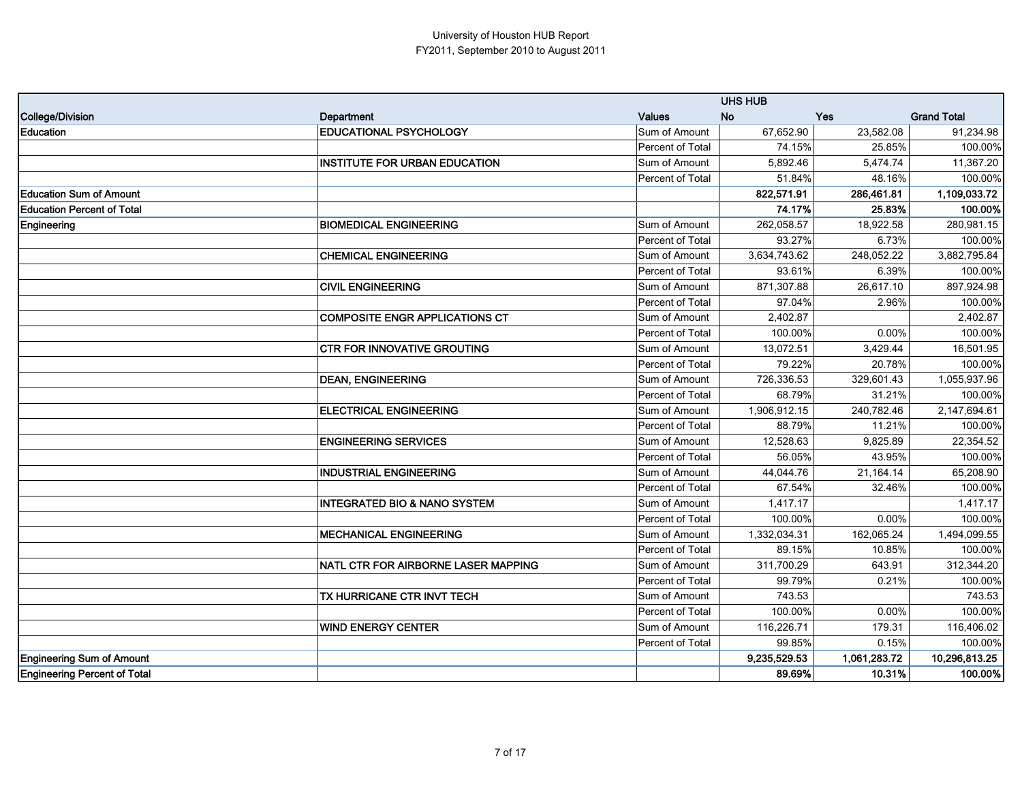|                                     |                                         |                  | <b>UHS HUB</b> |              |                    |
|-------------------------------------|-----------------------------------------|------------------|----------------|--------------|--------------------|
| College/Division                    | Department                              | Values           | <b>No</b>      | <b>Yes</b>   | <b>Grand Total</b> |
| Education                           | <b>EDUCATIONAL PSYCHOLOGY</b>           | Sum of Amount    | 67,652.90      | 23,582.08    | 91,234.98          |
|                                     |                                         | Percent of Total | 74.15%         | 25.85%       | 100.00%            |
|                                     | <b>INSTITUTE FOR URBAN EDUCATION</b>    | Sum of Amount    | 5,892.46       | 5,474.74     | 11,367.20          |
|                                     |                                         | Percent of Total | 51.84%         | 48.16%       | 100.00%            |
| <b>Education Sum of Amount</b>      |                                         |                  | 822,571.91     | 286,461.81   | 1,109,033.72       |
| <b>Education Percent of Total</b>   |                                         |                  | 74.17%         | 25.83%       | 100.00%            |
| Engineering                         | <b>BIOMEDICAL ENGINEERING</b>           | Sum of Amount    | 262,058.57     | 18,922.58    | 280,981.15         |
|                                     |                                         | Percent of Total | 93.27%         | 6.73%        | 100.00%            |
|                                     | <b>CHEMICAL ENGINEERING</b>             | Sum of Amount    | 3,634,743.62   | 248,052.22   | 3,882,795.84       |
|                                     |                                         | Percent of Total | 93.61%         | 6.39%        | 100.00%            |
|                                     | <b>CIVIL ENGINEERING</b>                | Sum of Amount    | 871,307.88     | 26,617.10    | 897,924.98         |
|                                     |                                         | Percent of Total | 97.04%         | 2.96%        | 100.00%            |
|                                     | <b>COMPOSITE ENGR APPLICATIONS CT</b>   | Sum of Amount    | 2,402.87       |              | 2,402.87           |
|                                     |                                         | Percent of Total | 100.00%        | $0.00\%$     | 100.00%            |
|                                     | <b>CTR FOR INNOVATIVE GROUTING</b>      | Sum of Amount    | 13,072.51      | 3,429.44     | 16,501.95          |
|                                     |                                         | Percent of Total | 79.22%         | 20.78%       | 100.00%            |
|                                     | <b>DEAN, ENGINEERING</b>                | Sum of Amount    | 726,336.53     | 329,601.43   | 1,055,937.96       |
|                                     |                                         | Percent of Total | 68.79%         | 31.21%       | 100.00%            |
|                                     | <b>ELECTRICAL ENGINEERING</b>           | Sum of Amount    | 1,906,912.15   | 240,782.46   | 2,147,694.61       |
|                                     |                                         | Percent of Total | 88.79%         | 11.21%       | 100.00%            |
|                                     | <b>ENGINEERING SERVICES</b>             | Sum of Amount    | 12,528.63      | 9,825.89     | 22,354.52          |
|                                     |                                         | Percent of Total | 56.05%         | 43.95%       | 100.00%            |
|                                     | <b>INDUSTRIAL ENGINEERING</b>           | Sum of Amount    | 44,044.76      | 21,164.14    | 65,208.90          |
|                                     |                                         | Percent of Total | 67.54%         | 32.46%       | 100.00%            |
|                                     | <b>INTEGRATED BIO &amp; NANO SYSTEM</b> | Sum of Amount    | 1,417.17       |              | 1,417.17           |
|                                     |                                         | Percent of Total | 100.00%        | 0.00%        | 100.00%            |
|                                     | <b>MECHANICAL ENGINEERING</b>           | Sum of Amount    | 1,332,034.31   | 162,065.24   | 1,494,099.55       |
|                                     |                                         | Percent of Total | 89.15%         | 10.85%       | 100.00%            |
|                                     | NATL CTR FOR AIRBORNE LASER MAPPING     | Sum of Amount    | 311,700.29     | 643.91       | 312,344.20         |
|                                     |                                         | Percent of Total | 99.79%         | 0.21%        | 100.00%            |
|                                     | TX HURRICANE CTR INVT TECH              | Sum of Amount    | 743.53         |              | 743.53             |
|                                     |                                         | Percent of Total | 100.00%        | 0.00%        | 100.00%            |
|                                     | <b>WIND ENERGY CENTER</b>               | Sum of Amount    | 116,226.71     | 179.31       | 116,406.02         |
|                                     |                                         | Percent of Total | 99.85%         | 0.15%        | 100.00%            |
| <b>Engineering Sum of Amount</b>    |                                         |                  | 9,235,529.53   | 1,061,283.72 | 10,296,813.25      |
| <b>Engineering Percent of Total</b> |                                         |                  | 89.69%         | 10.31%       | 100.00%            |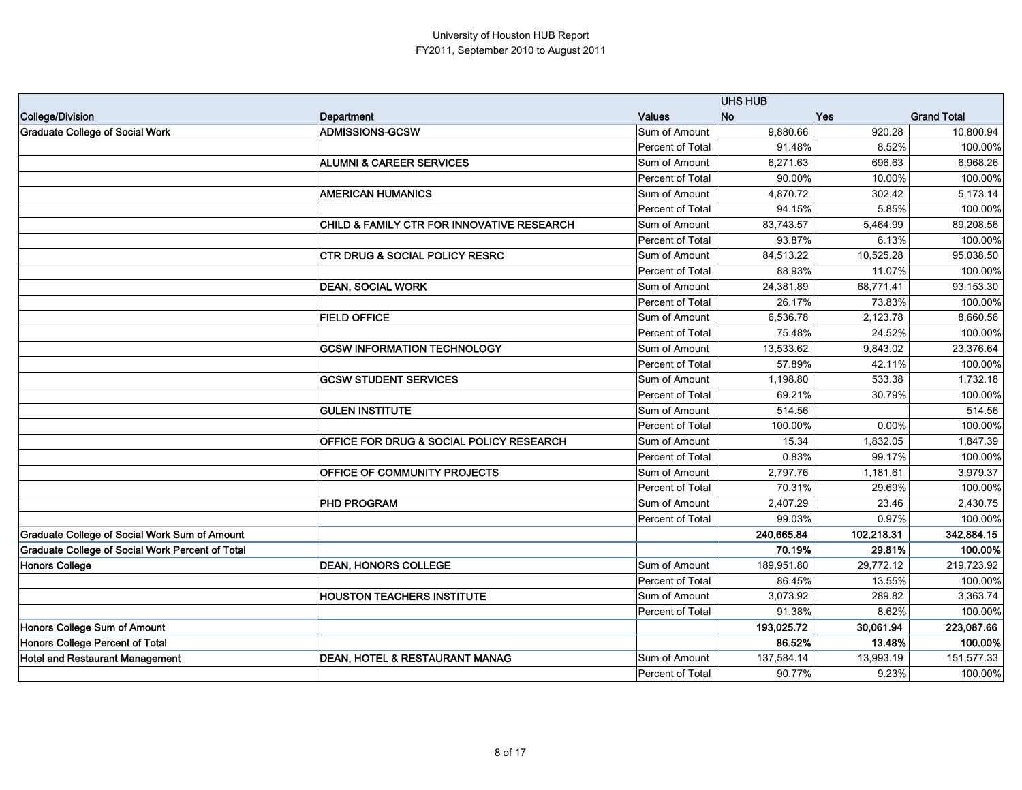|                                                  |                                            |                         | <b>UHS HUB</b> |            |                    |
|--------------------------------------------------|--------------------------------------------|-------------------------|----------------|------------|--------------------|
| <b>College/Division</b>                          | Department                                 | Values                  | <b>No</b>      | <b>Yes</b> | <b>Grand Total</b> |
| <b>Graduate College of Social Work</b>           | <b>ADMISSIONS-GCSW</b>                     | Sum of Amount           | 9,880.66       | 920.28     | 10,800.94          |
|                                                  |                                            | Percent of Total        | 91.48%         | 8.52%      | 100.00%            |
|                                                  | <b>ALUMNI &amp; CAREER SERVICES</b>        | Sum of Amount           | 6,271.63       | 696.63     | 6,968.26           |
|                                                  |                                            | Percent of Total        | 90.00%         | 10.00%     | 100.00%            |
|                                                  | <b>AMERICAN HUMANICS</b>                   | Sum of Amount           | 4,870.72       | 302.42     | 5,173.14           |
|                                                  |                                            | Percent of Total        | 94.15%         | 5.85%      | 100.00%            |
|                                                  | CHILD & FAMILY CTR FOR INNOVATIVE RESEARCH | Sum of Amount           | 83,743.57      | 5,464.99   | 89,208.56          |
|                                                  |                                            | Percent of Total        | 93.87%         | 6.13%      | 100.00%            |
|                                                  | <b>CTR DRUG &amp; SOCIAL POLICY RESRC</b>  | Sum of Amount           | 84,513.22      | 10,525.28  | 95,038.50          |
|                                                  |                                            | <b>Percent of Total</b> | 88.93%         | 11.07%     | 100.00%            |
|                                                  | <b>DEAN, SOCIAL WORK</b>                   | Sum of Amount           | 24,381.89      | 68,771.41  | 93,153.30          |
|                                                  |                                            | Percent of Total        | 26.17%         | 73.83%     | 100.00%            |
|                                                  | <b>FIELD OFFICE</b>                        | Sum of Amount           | 6,536.78       | 2,123.78   | 8,660.56           |
|                                                  |                                            | <b>Percent of Total</b> | 75.48%         | 24.52%     | 100.00%            |
|                                                  | <b>GCSW INFORMATION TECHNOLOGY</b>         | Sum of Amount           | 13,533.62      | 9.843.02   | 23,376.64          |
|                                                  |                                            | Percent of Total        | 57.89%         | 42.11%     | 100.00%            |
|                                                  | <b>GCSW STUDENT SERVICES</b>               | Sum of Amount           | 1,198.80       | 533.38     | 1,732.18           |
|                                                  |                                            | Percent of Total        | 69.21%         | 30.79%     | 100.00%            |
|                                                  | <b>GULEN INSTITUTE</b>                     | Sum of Amount           | 514.56         |            | 514.56             |
|                                                  |                                            | Percent of Total        | 100.00%        | 0.00%      | 100.00%            |
|                                                  | OFFICE FOR DRUG & SOCIAL POLICY RESEARCH   | Sum of Amount           | 15.34          | 1,832.05   | 1,847.39           |
|                                                  |                                            | Percent of Total        | 0.83%          | 99.17%     | 100.00%            |
|                                                  | OFFICE OF COMMUNITY PROJECTS               | Sum of Amount           | 2,797.76       | 1,181.61   | 3,979.37           |
|                                                  |                                            | Percent of Total        | 70.31%         | 29.69%     | 100.00%            |
|                                                  | <b>PHD PROGRAM</b>                         | Sum of Amount           | 2,407.29       | 23.46      | 2,430.75           |
|                                                  |                                            | Percent of Total        | 99.03%         | 0.97%      | 100.00%            |
| Graduate College of Social Work Sum of Amount    |                                            |                         | 240,665.84     | 102,218.31 | 342,884.15         |
| Graduate College of Social Work Percent of Total |                                            |                         | 70.19%         | 29.81%     | 100.00%            |
| <b>Honors College</b>                            | <b>DEAN, HONORS COLLEGE</b>                | Sum of Amount           | 189,951.80     | 29,772.12  | 219,723.92         |
|                                                  |                                            | Percent of Total        | 86.45%         | 13.55%     | 100.00%            |
|                                                  | <b>HOUSTON TEACHERS INSTITUTE</b>          | Sum of Amount           | 3,073.92       | 289.82     | 3,363.74           |
|                                                  |                                            | Percent of Total        | 91.38%         | 8.62%      | 100.00%            |
| Honors College Sum of Amount                     |                                            |                         | 193,025.72     | 30,061.94  | 223,087.66         |
| Honors College Percent of Total                  |                                            |                         | 86.52%         | 13.48%     | 100.00%            |
| <b>Hotel and Restaurant Management</b>           | <b>DEAN, HOTEL &amp; RESTAURANT MANAG</b>  | Sum of Amount           | 137,584.14     | 13,993.19  | 151,577.33         |
|                                                  |                                            | Percent of Total        | 90.77%         | 9.23%      | 100.00%            |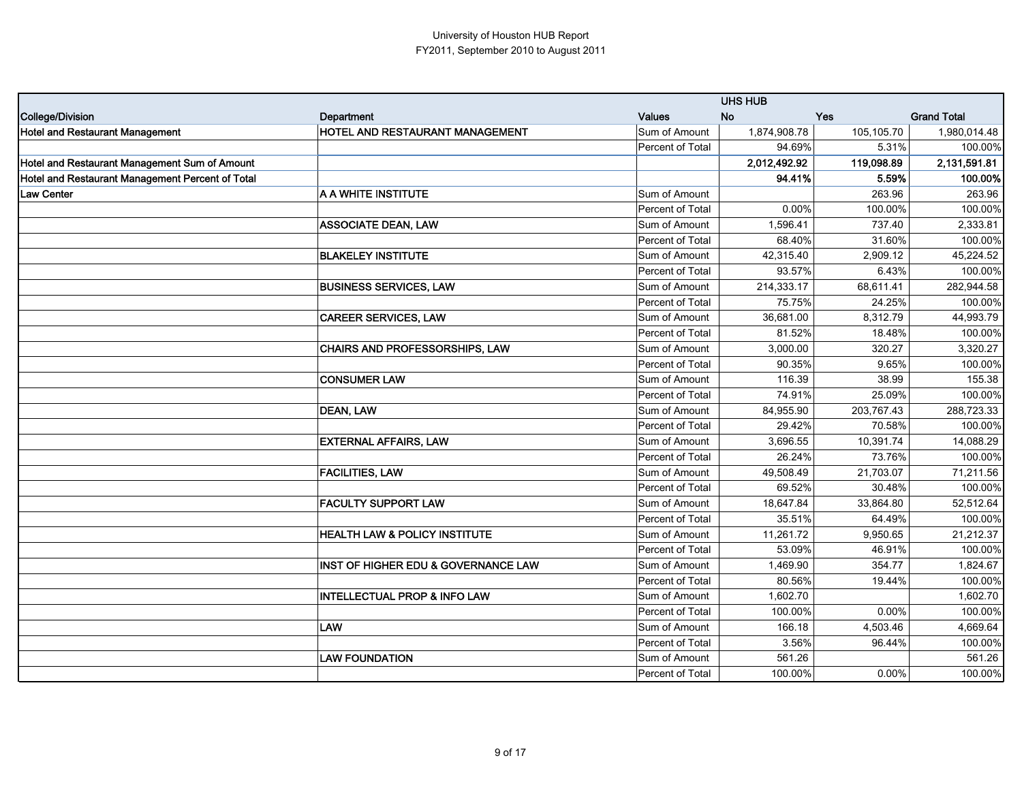|                                                  |                                                |                         | <b>UHS HUB</b> |            |                    |
|--------------------------------------------------|------------------------------------------------|-------------------------|----------------|------------|--------------------|
| College/Division                                 | Department                                     | <b>Values</b>           | <b>No</b>      | <b>Yes</b> | <b>Grand Total</b> |
| <b>Hotel and Restaurant Management</b>           | HOTEL AND RESTAURANT MANAGEMENT                | Sum of Amount           | 1,874,908.78   | 105,105.70 | 1,980,014.48       |
|                                                  |                                                | Percent of Total        | 94.69%         | 5.31%      | 100.00%            |
| Hotel and Restaurant Management Sum of Amount    |                                                |                         | 2,012,492.92   | 119,098.89 | 2,131,591.81       |
| Hotel and Restaurant Management Percent of Total |                                                |                         | 94.41%         | 5.59%      | 100.00%            |
| <b>Law Center</b>                                | A A WHITE INSTITUTE                            | Sum of Amount           |                | 263.96     | 263.96             |
|                                                  |                                                | Percent of Total        | 0.00%          | 100.00%    | 100.00%            |
|                                                  | <b>ASSOCIATE DEAN, LAW</b>                     | Sum of Amount           | 1,596.41       | 737.40     | 2,333.81           |
|                                                  |                                                | Percent of Total        | 68.40%         | 31.60%     | 100.00%            |
|                                                  | <b>BLAKELEY INSTITUTE</b>                      | Sum of Amount           | 42,315.40      | 2,909.12   | 45,224.52          |
|                                                  |                                                | Percent of Total        | 93.57%         | 6.43%      | 100.00%            |
|                                                  | <b>BUSINESS SERVICES, LAW</b>                  | Sum of Amount           | 214,333.17     | 68,611.41  | 282,944.58         |
|                                                  |                                                | Percent of Total        | 75.75%         | 24.25%     | 100.00%            |
|                                                  | <b>CAREER SERVICES, LAW</b>                    | Sum of Amount           | 36,681.00      | 8,312.79   | 44,993.79          |
|                                                  |                                                | Percent of Total        | 81.52%         | 18.48%     | 100.00%            |
|                                                  | CHAIRS AND PROFESSORSHIPS, LAW                 | Sum of Amount           | 3,000.00       | 320.27     | 3,320.27           |
|                                                  |                                                | Percent of Total        | 90.35%         | 9.65%      | 100.00%            |
|                                                  | <b>CONSUMER LAW</b>                            | Sum of Amount           | 116.39         | 38.99      | 155.38             |
|                                                  |                                                | Percent of Total        | 74.91%         | 25.09%     | 100.00%            |
|                                                  | DEAN, LAW                                      | Sum of Amount           | 84,955.90      | 203,767.43 | 288,723.33         |
|                                                  |                                                | Percent of Total        | 29.42%         | 70.58%     | 100.00%            |
|                                                  | <b>EXTERNAL AFFAIRS, LAW</b>                   | Sum of Amount           | 3,696.55       | 10,391.74  | 14,088.29          |
|                                                  |                                                | Percent of Total        | 26.24%         | 73.76%     | 100.00%            |
|                                                  | <b>FACILITIES, LAW</b>                         | Sum of Amount           | 49,508.49      | 21,703.07  | 71,211.56          |
|                                                  |                                                | Percent of Total        | 69.52%         | 30.48%     | 100.00%            |
|                                                  | <b>FACULTY SUPPORT LAW</b>                     | Sum of Amount           | 18,647.84      | 33,864.80  | 52,512.64          |
|                                                  |                                                | Percent of Total        | 35.51%         | 64.49%     | 100.00%            |
|                                                  | <b>HEALTH LAW &amp; POLICY INSTITUTE</b>       | Sum of Amount           | 11,261.72      | 9,950.65   | 21,212.37          |
|                                                  |                                                | Percent of Total        | 53.09%         | 46.91%     | 100.00%            |
|                                                  | <b>INST OF HIGHER EDU &amp; GOVERNANCE LAW</b> | Sum of Amount           | 1,469.90       | 354.77     | 1,824.67           |
|                                                  |                                                | Percent of Total        | 80.56%         | 19.44%     | 100.00%            |
|                                                  | <b>INTELLECTUAL PROP &amp; INFO LAW</b>        | Sum of Amount           | 1,602.70       |            | 1,602.70           |
|                                                  |                                                | Percent of Total        | 100.00%        | 0.00%      | 100.00%            |
|                                                  | <b>LAW</b>                                     | Sum of Amount           | 166.18         | 4,503.46   | 4,669.64           |
|                                                  |                                                | <b>Percent of Total</b> | 3.56%          | 96.44%     | 100.00%            |
|                                                  | <b>LAW FOUNDATION</b>                          | Sum of Amount           | 561.26         |            | 561.26             |
|                                                  |                                                | Percent of Total        | 100.00%        | 0.00%      | 100.00%            |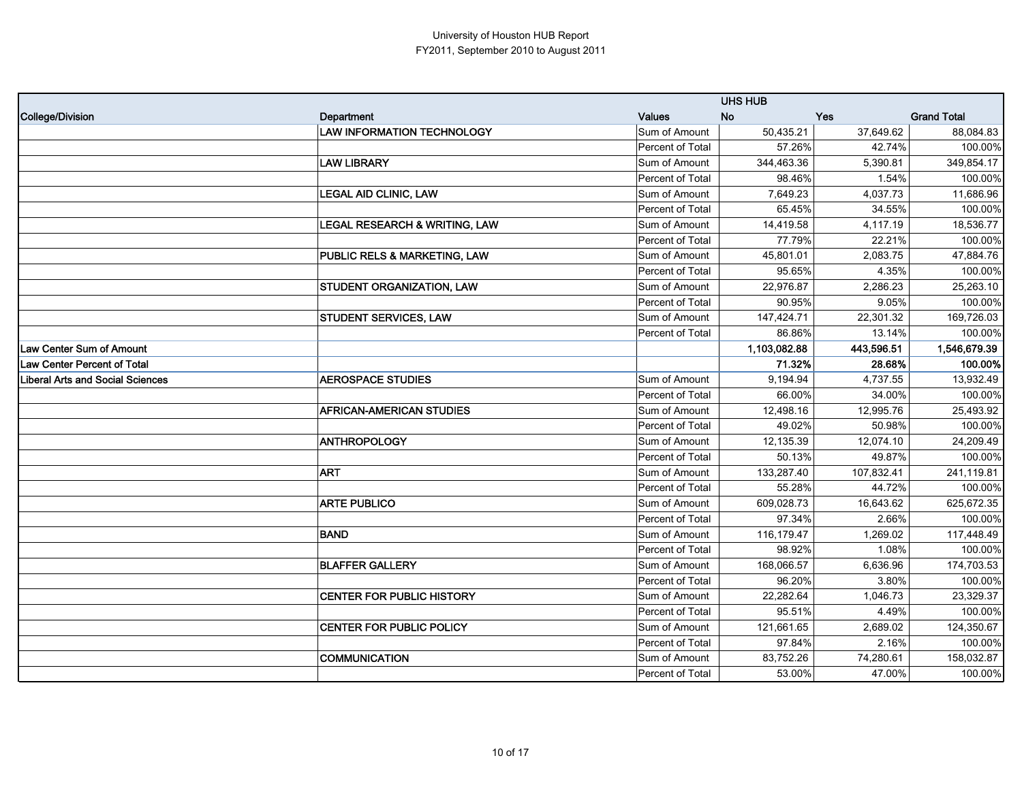|                                         |                                          |                  | <b>UHS HUB</b> |            |                    |
|-----------------------------------------|------------------------------------------|------------------|----------------|------------|--------------------|
| College/Division                        | Department                               | <b>Values</b>    | <b>No</b>      | Yes        | <b>Grand Total</b> |
|                                         | <b>LAW INFORMATION TECHNOLOGY</b>        | Sum of Amount    | 50,435.21      | 37,649.62  | 88,084.83          |
|                                         |                                          | Percent of Total | 57.26%         | 42.74%     | 100.00%            |
|                                         | <b>LAW LIBRARY</b>                       | Sum of Amount    | 344,463.36     | 5,390.81   | 349,854.17         |
|                                         |                                          | Percent of Total | 98.46%         | 1.54%      | 100.00%            |
|                                         | <b>LEGAL AID CLINIC, LAW</b>             | Sum of Amount    | 7,649.23       | 4,037.73   | 11,686.96          |
|                                         |                                          | Percent of Total | 65.45%         | 34.55%     | 100.00%            |
|                                         | <b>LEGAL RESEARCH &amp; WRITING, LAW</b> | Sum of Amount    | 14,419.58      | 4,117.19   | 18,536.77          |
|                                         |                                          | Percent of Total | 77.79%         | 22.21%     | 100.00%            |
|                                         | PUBLIC RELS & MARKETING, LAW             | Sum of Amount    | 45,801.01      | 2,083.75   | 47,884.76          |
|                                         |                                          | Percent of Total | 95.65%         | 4.35%      | 100.00%            |
|                                         | <b>STUDENT ORGANIZATION, LAW</b>         | Sum of Amount    | 22,976.87      | 2,286.23   | 25,263.10          |
|                                         |                                          | Percent of Total | 90.95%         | 9.05%      | 100.00%            |
|                                         | <b>STUDENT SERVICES, LAW</b>             | Sum of Amount    | 147,424.71     | 22,301.32  | 169,726.03         |
|                                         |                                          | Percent of Total | 86.86%         | 13.14%     | 100.00%            |
| <b>Law Center Sum of Amount</b>         |                                          |                  | 1,103,082.88   | 443,596.51 | 1,546,679.39       |
| Law Center Percent of Total             |                                          |                  | 71.32%         | 28.68%     | 100.00%            |
| <b>Liberal Arts and Social Sciences</b> | <b>AEROSPACE STUDIES</b>                 | Sum of Amount    | 9,194.94       | 4,737.55   | 13,932.49          |
|                                         |                                          | Percent of Total | 66.00%         | 34.00%     | 100.00%            |
|                                         | <b>AFRICAN-AMERICAN STUDIES</b>          | Sum of Amount    | 12,498.16      | 12,995.76  | 25,493.92          |
|                                         |                                          | Percent of Total | 49.02%         | 50.98%     | 100.00%            |
|                                         | <b>ANTHROPOLOGY</b>                      | Sum of Amount    | 12,135.39      | 12,074.10  | 24,209.49          |
|                                         |                                          | Percent of Total | 50.13%         | 49.87%     | 100.00%            |
|                                         | <b>ART</b>                               | Sum of Amount    | 133,287.40     | 107,832.41 | 241,119.81         |
|                                         |                                          | Percent of Total | 55.28%         | 44.72%     | 100.00%            |
|                                         | <b>ARTE PUBLICO</b>                      | Sum of Amount    | 609,028.73     | 16,643.62  | 625,672.35         |
|                                         |                                          | Percent of Total | 97.34%         | 2.66%      | 100.00%            |
|                                         | <b>BAND</b>                              | Sum of Amount    | 116,179.47     | 1,269.02   | 117,448.49         |
|                                         |                                          | Percent of Total | 98.92%         | 1.08%      | 100.00%            |
|                                         | <b>BLAFFER GALLERY</b>                   | Sum of Amount    | 168,066.57     | 6,636.96   | 174,703.53         |
|                                         |                                          | Percent of Total | 96.20%         | 3.80%      | 100.00%            |
|                                         | <b>CENTER FOR PUBLIC HISTORY</b>         | Sum of Amount    | 22.282.64      | 1.046.73   | 23,329.37          |
|                                         |                                          | Percent of Total | 95.51%         | 4.49%      | 100.00%            |
|                                         | CENTER FOR PUBLIC POLICY                 | Sum of Amount    | 121,661.65     | 2,689.02   | 124,350.67         |
|                                         |                                          | Percent of Total | 97.84%         | 2.16%      | 100.00%            |
|                                         | <b>COMMUNICATION</b>                     | Sum of Amount    | 83,752.26      | 74,280.61  | 158,032.87         |
|                                         |                                          | Percent of Total | 53.00%         | 47.00%     | 100.00%            |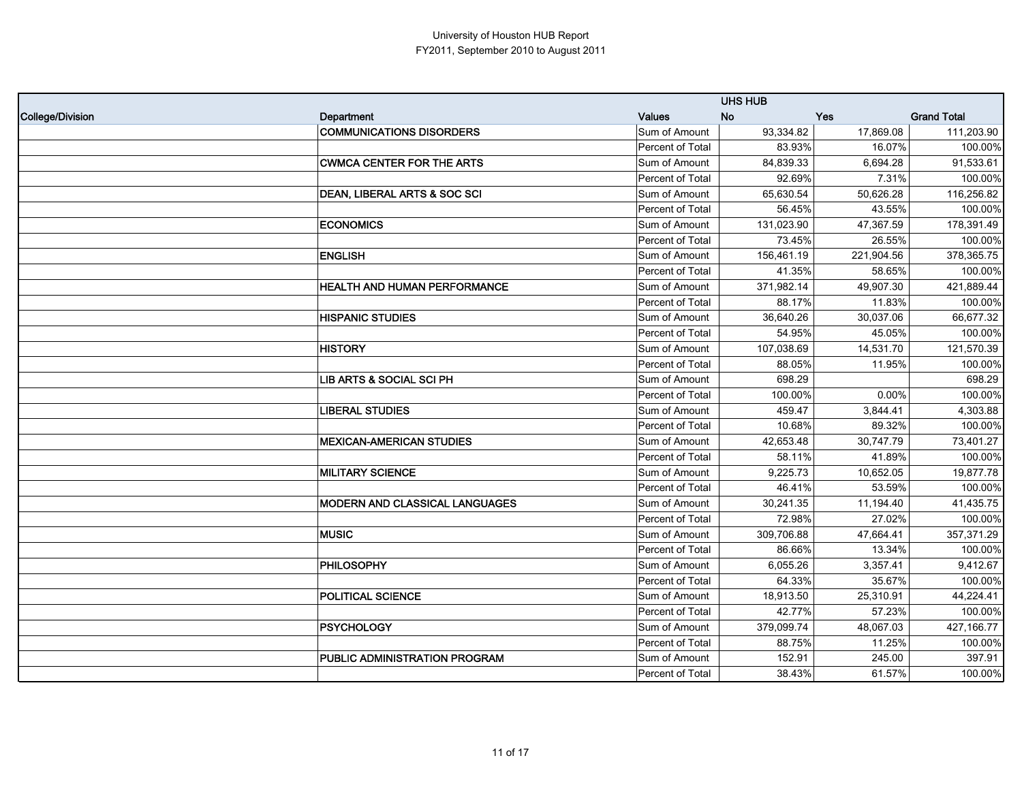|                  |                                       |                  | <b>UHS HUB</b> |            |                    |
|------------------|---------------------------------------|------------------|----------------|------------|--------------------|
| College/Division | Department                            | <b>Values</b>    | <b>No</b>      | <b>Yes</b> | <b>Grand Total</b> |
|                  | <b>COMMUNICATIONS DISORDERS</b>       | Sum of Amount    | 93,334.82      | 17,869.08  | 111,203.90         |
|                  |                                       | Percent of Total | 83.93%         | 16.07%     | 100.00%            |
|                  | <b>CWMCA CENTER FOR THE ARTS</b>      | Sum of Amount    | 84,839.33      | 6,694.28   | 91,533.61          |
|                  |                                       | Percent of Total | 92.69%         | 7.31%      | 100.00%            |
|                  | DEAN, LIBERAL ARTS & SOC SCI          | Sum of Amount    | 65,630.54      | 50,626.28  | 116,256.82         |
|                  |                                       | Percent of Total | 56.45%         | 43.55%     | 100.00%            |
|                  | <b>ECONOMICS</b>                      | Sum of Amount    | 131,023.90     | 47,367.59  | 178,391.49         |
|                  |                                       | Percent of Total | 73.45%         | 26.55%     | 100.00%            |
|                  | <b>ENGLISH</b>                        | Sum of Amount    | 156,461.19     | 221,904.56 | 378,365.75         |
|                  |                                       | Percent of Total | 41.35%         | 58.65%     | 100.00%            |
|                  | <b>HEALTH AND HUMAN PERFORMANCE</b>   | Sum of Amount    | 371,982.14     | 49,907.30  | 421,889.44         |
|                  |                                       | Percent of Total | 88.17%         | 11.83%     | 100.00%            |
|                  | <b>HISPANIC STUDIES</b>               | Sum of Amount    | 36,640.26      | 30,037.06  | 66,677.32          |
|                  |                                       | Percent of Total | 54.95%         | 45.05%     | 100.00%            |
|                  | <b>HISTORY</b>                        | Sum of Amount    | 107,038.69     | 14,531.70  | 121,570.39         |
|                  |                                       | Percent of Total | 88.05%         | 11.95%     | 100.00%            |
|                  | LIB ARTS & SOCIAL SCI PH              | Sum of Amount    | 698.29         |            | 698.29             |
|                  |                                       | Percent of Total | 100.00%        | 0.00%      | 100.00%            |
|                  | <b>LIBERAL STUDIES</b>                | Sum of Amount    | 459.47         | 3,844.41   | 4,303.88           |
|                  |                                       | Percent of Total | 10.68%         | 89.32%     | 100.00%            |
|                  | <b>MEXICAN-AMERICAN STUDIES</b>       | Sum of Amount    | 42,653.48      | 30,747.79  | 73,401.27          |
|                  |                                       | Percent of Total | 58.11%         | 41.89%     | 100.00%            |
|                  | <b>MILITARY SCIENCE</b>               | Sum of Amount    | 9,225.73       | 10,652.05  | 19,877.78          |
|                  |                                       | Percent of Total | 46.41%         | 53.59%     | 100.00%            |
|                  | <b>MODERN AND CLASSICAL LANGUAGES</b> | Sum of Amount    | 30,241.35      | 11,194.40  | 41,435.75          |
|                  |                                       | Percent of Total | 72.98%         | 27.02%     | 100.00%            |
|                  | <b>MUSIC</b>                          | Sum of Amount    | 309,706.88     | 47,664.41  | 357,371.29         |
|                  |                                       | Percent of Total | 86.66%         | 13.34%     | 100.00%            |
|                  | PHILOSOPHY                            | Sum of Amount    | 6,055.26       | 3,357.41   | 9,412.67           |
|                  |                                       | Percent of Total | 64.33%         | 35.67%     | 100.00%            |
|                  | POLITICAL SCIENCE                     | Sum of Amount    | 18,913.50      | 25,310.91  | 44,224.41          |
|                  |                                       | Percent of Total | 42.77%         | 57.23%     | 100.00%            |
|                  | PSYCHOLOGY                            | Sum of Amount    | 379,099.74     | 48,067.03  | 427,166.77         |
|                  |                                       | Percent of Total | 88.75%         | 11.25%     | 100.00%            |
|                  | PUBLIC ADMINISTRATION PROGRAM         | Sum of Amount    | 152.91         | 245.00     | 397.91             |
|                  |                                       | Percent of Total | 38.43%         | 61.57%     | 100.00%            |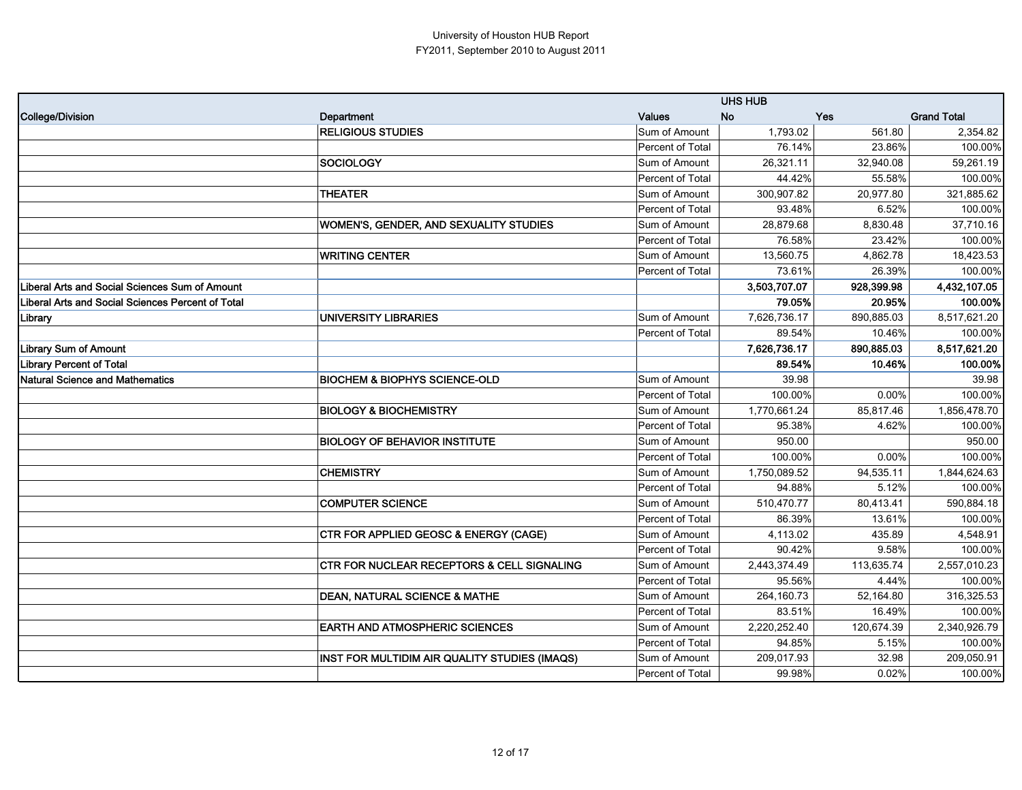|                                                   |                                                       |                  | <b>UHS HUB</b> |            |                    |
|---------------------------------------------------|-------------------------------------------------------|------------------|----------------|------------|--------------------|
| College/Division                                  | Department                                            | Values           | <b>No</b>      | <b>Yes</b> | <b>Grand Total</b> |
|                                                   | <b>RELIGIOUS STUDIES</b>                              | Sum of Amount    | 1,793.02       | 561.80     | 2,354.82           |
|                                                   |                                                       | Percent of Total | 76.14%         | 23.86%     | 100.00%            |
|                                                   | SOCIOLOGY                                             | Sum of Amount    | 26,321.11      | 32,940.08  | 59,261.19          |
|                                                   |                                                       | Percent of Total | 44.42%         | 55.58%     | 100.00%            |
|                                                   | <b>THEATER</b>                                        | Sum of Amount    | 300,907.82     | 20,977.80  | 321,885.62         |
|                                                   |                                                       | Percent of Total | 93.48%         | 6.52%      | 100.00%            |
|                                                   | <b>WOMEN'S, GENDER, AND SEXUALITY STUDIES</b>         | Sum of Amount    | 28,879.68      | 8,830.48   | 37,710.16          |
|                                                   |                                                       | Percent of Total | 76.58%         | 23.42%     | 100.00%            |
|                                                   | <b>WRITING CENTER</b>                                 | Sum of Amount    | 13,560.75      | 4,862.78   | 18,423.53          |
|                                                   |                                                       | Percent of Total | 73.61%         | 26.39%     | 100.00%            |
| Liberal Arts and Social Sciences Sum of Amount    |                                                       |                  | 3,503,707.07   | 928,399.98 | 4,432,107.05       |
| Liberal Arts and Social Sciences Percent of Total |                                                       |                  | 79.05%         | 20.95%     | 100.00%            |
| Library                                           | <b>UNIVERSITY LIBRARIES</b>                           | Sum of Amount    | 7,626,736.17   | 890,885.03 | 8,517,621.20       |
|                                                   |                                                       | Percent of Total | 89.54%         | 10.46%     | 100.00%            |
| <b>Library Sum of Amount</b>                      |                                                       |                  | 7,626,736.17   | 890.885.03 | 8,517,621.20       |
| <b>Library Percent of Total</b>                   |                                                       |                  | 89.54%         | 10.46%     | 100.00%            |
| <b>Natural Science and Mathematics</b>            | <b>BIOCHEM &amp; BIOPHYS SCIENCE-OLD</b>              | Sum of Amount    | 39.98          |            | 39.98              |
|                                                   |                                                       | Percent of Total | 100.00%        | 0.00%      | 100.00%            |
|                                                   | <b>BIOLOGY &amp; BIOCHEMISTRY</b>                     | Sum of Amount    | 1,770,661.24   | 85,817.46  | 1,856,478.70       |
|                                                   |                                                       | Percent of Total | 95.38%         | 4.62%      | 100.00%            |
|                                                   | <b>BIOLOGY OF BEHAVIOR INSTITUTE</b>                  | Sum of Amount    | 950.00         |            | 950.00             |
|                                                   |                                                       | Percent of Total | 100.00%        | 0.00%      | 100.00%            |
|                                                   | <b>CHEMISTRY</b>                                      | Sum of Amount    | 1,750,089.52   | 94,535.11  | 1,844,624.63       |
|                                                   |                                                       | Percent of Total | 94.88%         | 5.12%      | 100.00%            |
|                                                   | <b>COMPUTER SCIENCE</b>                               | Sum of Amount    | 510,470.77     | 80,413.41  | 590,884.18         |
|                                                   |                                                       | Percent of Total | 86.39%         | 13.61%     | 100.00%            |
|                                                   | CTR FOR APPLIED GEOSC & ENERGY (CAGE)                 | Sum of Amount    | 4,113.02       | 435.89     | 4,548.91           |
|                                                   |                                                       | Percent of Total | 90.42%         | 9.58%      | 100.00%            |
|                                                   | <b>CTR FOR NUCLEAR RECEPTORS &amp; CELL SIGNALING</b> | Sum of Amount    | 2,443,374.49   | 113,635.74 | 2,557,010.23       |
|                                                   |                                                       | Percent of Total | 95.56%         | 4.44%      | 100.00%            |
|                                                   | <b>DEAN, NATURAL SCIENCE &amp; MATHE</b>              | Sum of Amount    | 264,160.73     | 52,164.80  | 316,325.53         |
|                                                   |                                                       | Percent of Total | 83.51%         | 16.49%     | 100.00%            |
|                                                   | <b>EARTH AND ATMOSPHERIC SCIENCES</b>                 | Sum of Amount    | 2,220,252.40   | 120,674.39 | 2,340,926.79       |
|                                                   |                                                       | Percent of Total | 94.85%         | 5.15%      | 100.00%            |
|                                                   | INST FOR MULTIDIM AIR QUALITY STUDIES (IMAQS)         | Sum of Amount    | 209,017.93     | 32.98      | 209,050.91         |
|                                                   |                                                       | Percent of Total | 99.98%         | 0.02%      | 100.00%            |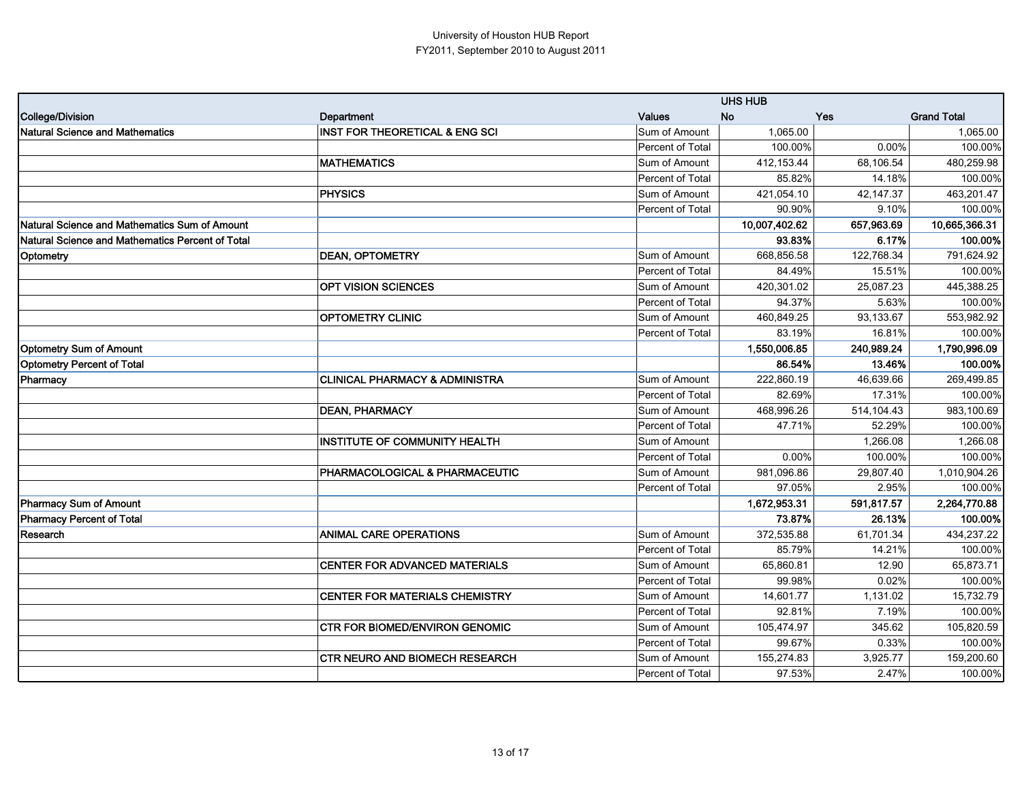|                                                  |                                           |                  | <b>UHS HUB</b> |            |                    |  |
|--------------------------------------------------|-------------------------------------------|------------------|----------------|------------|--------------------|--|
| <b>College/Division</b>                          | Department                                | <b>Values</b>    | <b>No</b>      | <b>Yes</b> | <b>Grand Total</b> |  |
| <b>Natural Science and Mathematics</b>           | <b>INST FOR THEORETICAL &amp; ENG SCI</b> | Sum of Amount    | 1,065.00       |            | 1,065.00           |  |
|                                                  |                                           | Percent of Total | 100.00%        | 0.00%      | 100.00%            |  |
|                                                  | <b>MATHEMATICS</b>                        | Sum of Amount    | 412,153.44     | 68,106.54  | 480,259.98         |  |
|                                                  |                                           | Percent of Total | 85.82%         | 14.18%     | 100.00%            |  |
|                                                  | <b>PHYSICS</b>                            | Sum of Amount    | 421,054.10     | 42.147.37  | 463,201.47         |  |
|                                                  |                                           | Percent of Total | 90.90%         | 9.10%      | 100.00%            |  |
| Natural Science and Mathematics Sum of Amount    |                                           |                  | 10,007,402.62  | 657,963.69 | 10,665,366.31      |  |
| Natural Science and Mathematics Percent of Total |                                           |                  | 93.83%         | 6.17%      | 100.00%            |  |
| Optometry                                        | <b>DEAN, OPTOMETRY</b>                    | Sum of Amount    | 668,856.58     | 122,768.34 | 791,624.92         |  |
|                                                  |                                           | Percent of Total | 84.49%         | 15.51%     | 100.00%            |  |
|                                                  | <b>OPT VISION SCIENCES</b>                | Sum of Amount    | 420,301.02     | 25,087.23  | 445,388.25         |  |
|                                                  |                                           | Percent of Total | 94.37%         | 5.63%      | 100.00%            |  |
|                                                  | <b>OPTOMETRY CLINIC</b>                   | Sum of Amount    | 460,849.25     | 93,133.67  | 553,982.92         |  |
|                                                  |                                           | Percent of Total | 83.19%         | 16.81%     | 100.00%            |  |
| <b>Optometry Sum of Amount</b>                   |                                           |                  | 1,550,006.85   | 240.989.24 | 1,790,996.09       |  |
| <b>Optometry Percent of Total</b>                |                                           |                  | 86.54%         | 13.46%     | 100.00%            |  |
| Pharmacy                                         | <b>CLINICAL PHARMACY &amp; ADMINISTRA</b> | Sum of Amount    | 222.860.19     | 46,639.66  | 269,499.85         |  |
|                                                  |                                           | Percent of Total | 82.69%         | 17.31%     | 100.00%            |  |
|                                                  | <b>DEAN, PHARMACY</b>                     | Sum of Amount    | 468,996.26     | 514,104.43 | 983,100.69         |  |
|                                                  |                                           | Percent of Total | 47.71%         | 52.29%     | 100.00%            |  |
|                                                  | INSTITUTE OF COMMUNITY HEALTH             | Sum of Amount    |                | 1,266.08   | 1,266.08           |  |
|                                                  |                                           | Percent of Total | 0.00%          | 100.00%    | 100.00%            |  |
|                                                  | PHARMACOLOGICAL & PHARMACEUTIC            | Sum of Amount    | 981,096.86     | 29,807.40  | 1,010,904.26       |  |
|                                                  |                                           | Percent of Total | 97.05%         | 2.95%      | 100.00%            |  |
| <b>Pharmacy Sum of Amount</b>                    |                                           |                  | 1,672,953.31   | 591,817.57 | 2,264,770.88       |  |
| <b>Pharmacy Percent of Total</b>                 |                                           |                  | 73.87%         | 26.13%     | 100.00%            |  |
| Research                                         | <b>ANIMAL CARE OPERATIONS</b>             | Sum of Amount    | 372,535.88     | 61,701.34  | 434,237.22         |  |
|                                                  |                                           | Percent of Total | 85.79%         | 14.21%     | 100.00%            |  |
|                                                  | <b>CENTER FOR ADVANCED MATERIALS</b>      | Sum of Amount    | 65,860.81      | 12.90      | 65,873.71          |  |
|                                                  |                                           | Percent of Total | 99.98%         | 0.02%      | 100.00%            |  |
|                                                  | <b>CENTER FOR MATERIALS CHEMISTRY</b>     | Sum of Amount    | 14,601.77      | 1,131.02   | 15,732.79          |  |
|                                                  |                                           | Percent of Total | 92.81%         | 7.19%      | 100.00%            |  |
|                                                  | <b>CTR FOR BIOMED/ENVIRON GENOMIC</b>     | Sum of Amount    | 105,474.97     | 345.62     | 105,820.59         |  |
|                                                  |                                           | Percent of Total | 99.67%         | 0.33%      | 100.00%            |  |
|                                                  | <b>CTR NEURO AND BIOMECH RESEARCH</b>     | Sum of Amount    | 155,274.83     | 3,925.77   | 159,200.60         |  |
|                                                  |                                           | Percent of Total | 97.53%         | 2.47%      | 100.00%            |  |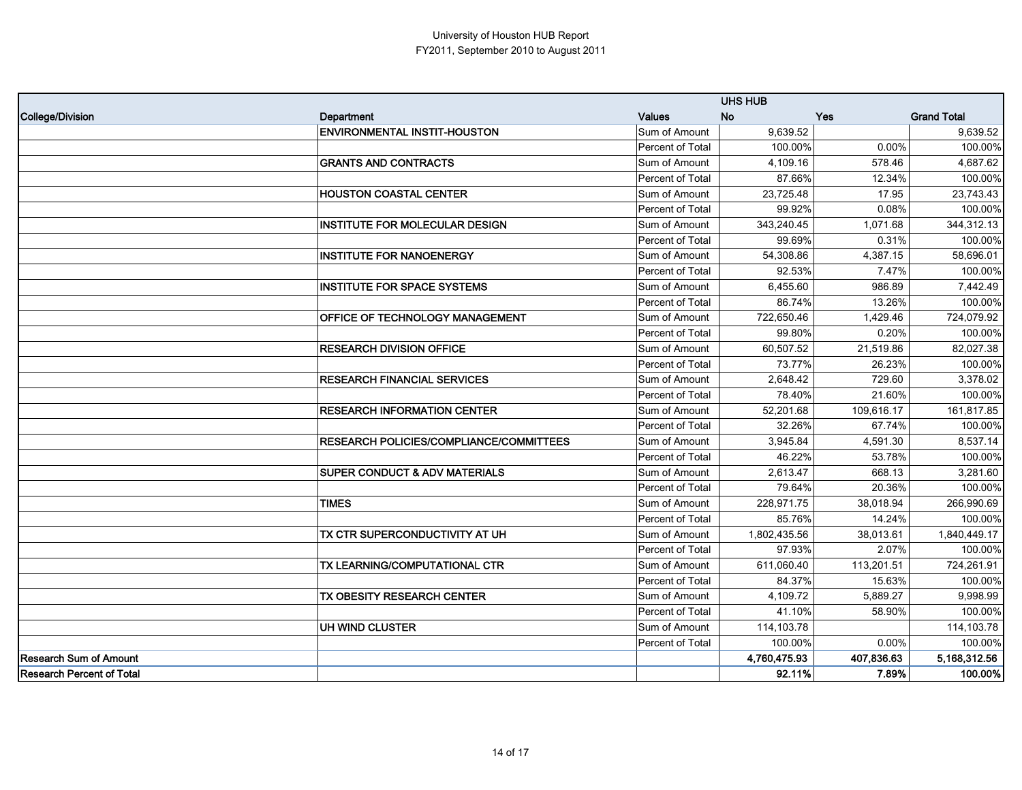|                               |                                                | <b>UHS HUB</b>          |              |            |                    |
|-------------------------------|------------------------------------------------|-------------------------|--------------|------------|--------------------|
| College/Division              | Department                                     | Values                  | <b>No</b>    | <b>Yes</b> | <b>Grand Total</b> |
|                               | <b>ENVIRONMENTAL INSTIT-HOUSTON</b>            | Sum of Amount           | 9,639.52     |            | 9,639.52           |
|                               |                                                | Percent of Total        | 100.00%      | 0.00%      | 100.00%            |
|                               | <b>GRANTS AND CONTRACTS</b>                    | Sum of Amount           | 4,109.16     | 578.46     | 4,687.62           |
|                               |                                                | <b>Percent of Total</b> | 87.66%       | 12.34%     | 100.00%            |
|                               | <b>HOUSTON COASTAL CENTER</b>                  | Sum of Amount           | 23,725.48    | 17.95      | 23,743.43          |
|                               |                                                | Percent of Total        | 99.92%       | 0.08%      | 100.00%            |
|                               | INSTITUTE FOR MOLECULAR DESIGN                 | Sum of Amount           | 343,240.45   | 1,071.68   | 344,312.13         |
|                               |                                                | Percent of Total        | 99.69%       | 0.31%      | 100.00%            |
|                               | <b>INSTITUTE FOR NANOENERGY</b>                | Sum of Amount           | 54,308.86    | 4.387.15   | 58.696.01          |
|                               |                                                | Percent of Total        | 92.53%       | 7.47%      | 100.00%            |
|                               | <b>INSTITUTE FOR SPACE SYSTEMS</b>             | Sum of Amount           | 6,455.60     | 986.89     | 7,442.49           |
|                               |                                                | Percent of Total        | 86.74%       | 13.26%     | 100.00%            |
|                               | OFFICE OF TECHNOLOGY MANAGEMENT                | Sum of Amount           | 722,650.46   | 1,429.46   | 724,079.92         |
|                               |                                                | Percent of Total        | 99.80%       | 0.20%      | 100.00%            |
|                               | <b>RESEARCH DIVISION OFFICE</b>                | Sum of Amount           | 60,507.52    | 21,519.86  | 82,027.38          |
|                               |                                                | Percent of Total        | 73.77%       | 26.23%     | 100.00%            |
|                               | <b>RESEARCH FINANCIAL SERVICES</b>             | Sum of Amount           | 2,648.42     | 729.60     | 3,378.02           |
|                               |                                                | Percent of Total        | 78.40%       | 21.60%     | 100.00%            |
|                               | <b>RESEARCH INFORMATION CENTER</b>             | Sum of Amount           | 52,201.68    | 109,616.17 | 161,817.85         |
|                               |                                                | Percent of Total        | 32.26%       | 67.74%     | 100.00%            |
|                               | <b>RESEARCH POLICIES/COMPLIANCE/COMMITTEES</b> | Sum of Amount           | 3,945.84     | 4,591.30   | 8,537.14           |
|                               |                                                | Percent of Total        | 46.22%       | 53.78%     | 100.00%            |
|                               | <b>SUPER CONDUCT &amp; ADV MATERIALS</b>       | Sum of Amount           | 2,613.47     | 668.13     | 3,281.60           |
|                               |                                                | Percent of Total        | 79.64%       | 20.36%     | 100.00%            |
|                               | <b>TIMES</b>                                   | Sum of Amount           | 228,971.75   | 38,018.94  | 266,990.69         |
|                               |                                                | Percent of Total        | 85.76%       | 14.24%     | 100.00%            |
|                               | TX CTR SUPERCONDUCTIVITY AT UH                 | Sum of Amount           | 1,802,435.56 | 38,013.61  | 1,840,449.17       |
|                               |                                                | Percent of Total        | 97.93%       | 2.07%      | 100.00%            |
|                               | TX LEARNING/COMPUTATIONAL CTR                  | Sum of Amount           | 611.060.40   | 113,201.51 | 724.261.91         |
|                               |                                                | Percent of Total        | 84.37%       | 15.63%     | 100.00%            |
|                               | TX OBESITY RESEARCH CENTER                     | Sum of Amount           | 4,109.72     | 5,889.27   | 9,998.99           |
|                               |                                                | Percent of Total        | 41.10%       | 58.90%     | 100.00%            |
|                               | UH WIND CLUSTER                                | Sum of Amount           | 114,103.78   |            | 114,103.78         |
|                               |                                                | Percent of Total        | 100.00%      | 0.00%      | 100.00%            |
| <b>Research Sum of Amount</b> |                                                |                         | 4,760,475.93 | 407,836.63 | 5,168,312.56       |
| Research Percent of Total     |                                                |                         | 92.11%       | 7.89%      | 100.00%            |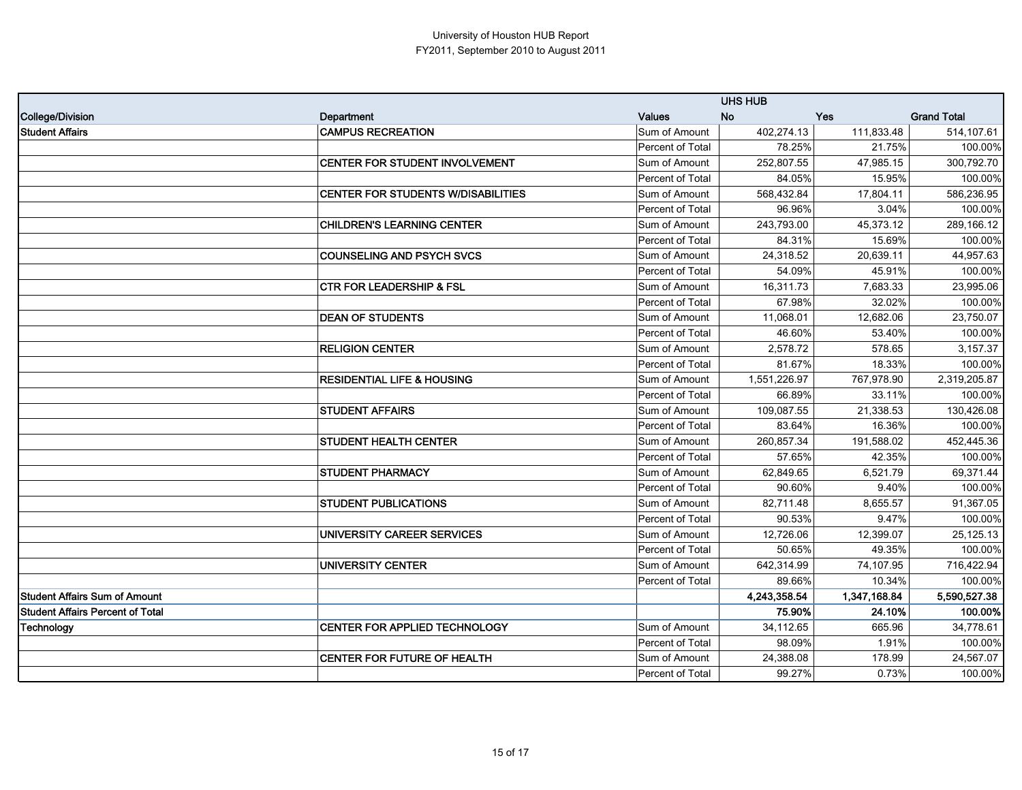|                                         |                                       | <b>UHS HUB</b>   |              |              |                    |
|-----------------------------------------|---------------------------------------|------------------|--------------|--------------|--------------------|
| College/Division                        | Department                            | <b>Values</b>    | <b>No</b>    | <b>Yes</b>   | <b>Grand Total</b> |
| <b>Student Affairs</b>                  | <b>CAMPUS RECREATION</b>              | Sum of Amount    | 402,274.13   | 111,833.48   | 514,107.61         |
|                                         |                                       | Percent of Total | 78.25%       | 21.75%       | 100.00%            |
|                                         | CENTER FOR STUDENT INVOLVEMENT        | Sum of Amount    | 252,807.55   | 47,985.15    | 300,792.70         |
|                                         |                                       | Percent of Total | 84.05%       | 15.95%       | 100.00%            |
|                                         | CENTER FOR STUDENTS W/DISABILITIES    | Sum of Amount    | 568,432.84   | 17,804.11    | 586,236.95         |
|                                         |                                       | Percent of Total | 96.96%       | 3.04%        | 100.00%            |
|                                         | <b>CHILDREN'S LEARNING CENTER</b>     | Sum of Amount    | 243,793.00   | 45,373.12    | 289,166.12         |
|                                         |                                       | Percent of Total | 84.31%       | 15.69%       | 100.00%            |
|                                         | <b>COUNSELING AND PSYCH SVCS</b>      | Sum of Amount    | 24,318.52    | 20,639.11    | 44,957.63          |
|                                         |                                       | Percent of Total | 54.09%       | 45.91%       | 100.00%            |
|                                         | <b>CTR FOR LEADERSHIP &amp; FSL</b>   | Sum of Amount    | 16,311.73    | 7,683.33     | 23,995.06          |
|                                         |                                       | Percent of Total | 67.98%       | 32.02%       | 100.00%            |
|                                         | <b>DEAN OF STUDENTS</b>               | Sum of Amount    | 11,068.01    | 12,682.06    | 23,750.07          |
|                                         |                                       | Percent of Total | 46.60%       | 53.40%       | 100.00%            |
|                                         | <b>RELIGION CENTER</b>                | Sum of Amount    | 2,578.72     | 578.65       | 3,157.37           |
|                                         |                                       | Percent of Total | 81.67%       | 18.33%       | 100.00%            |
|                                         | <b>RESIDENTIAL LIFE &amp; HOUSING</b> | Sum of Amount    | 1,551,226.97 | 767,978.90   | 2,319,205.87       |
|                                         |                                       | Percent of Total | 66.89%       | 33.11%       | 100.00%            |
|                                         | <b>STUDENT AFFAIRS</b>                | Sum of Amount    | 109,087.55   | 21,338.53    | 130,426.08         |
|                                         |                                       | Percent of Total | 83.64%       | 16.36%       | 100.00%            |
|                                         | <b>STUDENT HEALTH CENTER</b>          | Sum of Amount    | 260,857.34   | 191,588.02   | 452,445.36         |
|                                         |                                       | Percent of Total | 57.65%       | 42.35%       | 100.00%            |
|                                         | <b>STUDENT PHARMACY</b>               | Sum of Amount    | 62,849.65    | 6,521.79     | 69,371.44          |
|                                         |                                       | Percent of Total | 90.60%       | 9.40%        | 100.00%            |
|                                         | <b>STUDENT PUBLICATIONS</b>           | Sum of Amount    | 82,711.48    | 8,655.57     | 91,367.05          |
|                                         |                                       | Percent of Total | 90.53%       | 9.47%        | 100.00%            |
|                                         | UNIVERSITY CAREER SERVICES            | Sum of Amount    | 12,726.06    | 12,399.07    | 25,125.13          |
|                                         |                                       | Percent of Total | 50.65%       | 49.35%       | 100.00%            |
|                                         | <b>UNIVERSITY CENTER</b>              | Sum of Amount    | 642,314.99   | 74,107.95    | 716,422.94         |
|                                         |                                       | Percent of Total | 89.66%       | 10.34%       | 100.00%            |
| <b>Student Affairs Sum of Amount</b>    |                                       |                  | 4,243,358.54 | 1,347,168.84 | 5,590,527.38       |
| <b>Student Affairs Percent of Total</b> |                                       |                  | 75.90%       | 24.10%       | 100.00%            |
| <b>Technology</b>                       | <b>CENTER FOR APPLIED TECHNOLOGY</b>  | Sum of Amount    | 34,112.65    | 665.96       | 34,778.61          |
|                                         |                                       | Percent of Total | 98.09%       | 1.91%        | 100.00%            |
|                                         | CENTER FOR FUTURE OF HEALTH           | Sum of Amount    | 24,388.08    | 178.99       | 24,567.07          |
|                                         |                                       | Percent of Total | 99.27%       | 0.73%        | 100.00%            |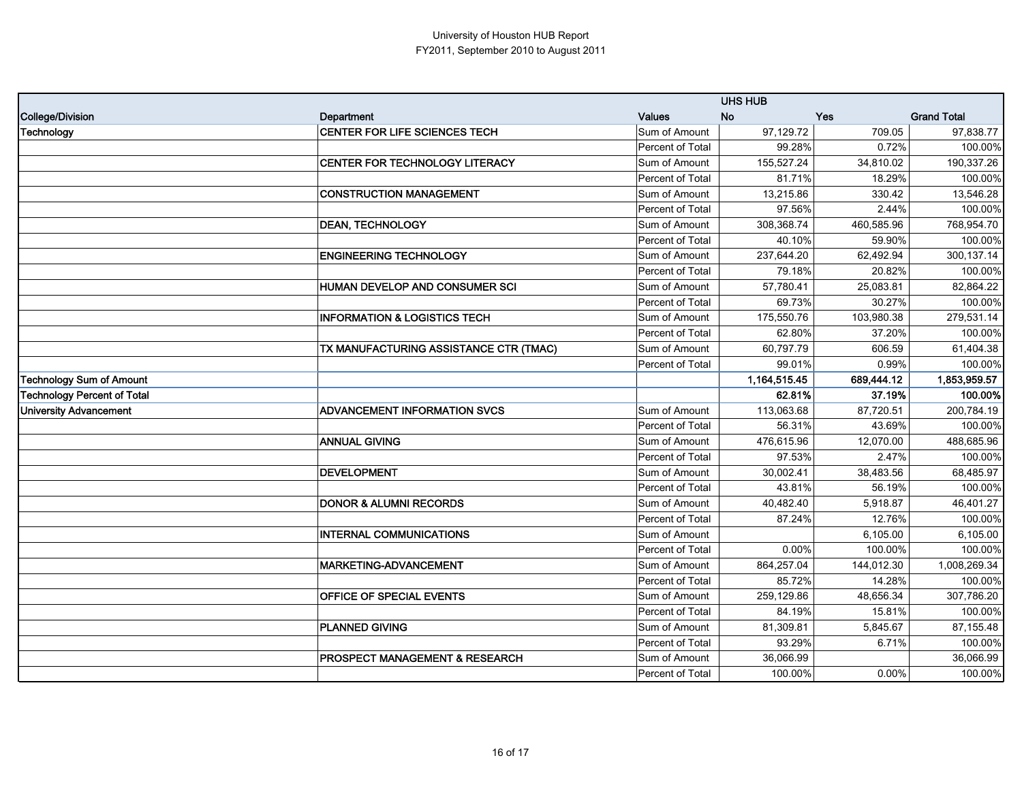|                                    |                                         |                  | <b>UHS HUB</b> |            |                    |
|------------------------------------|-----------------------------------------|------------------|----------------|------------|--------------------|
| College/Division                   | Department                              | <b>Values</b>    | <b>No</b>      | <b>Yes</b> | <b>Grand Total</b> |
| Technology                         | CENTER FOR LIFE SCIENCES TECH           | Sum of Amount    | 97,129.72      | 709.05     | 97,838.77          |
|                                    |                                         | Percent of Total | 99.28%         | 0.72%      | 100.00%            |
|                                    | CENTER FOR TECHNOLOGY LITERACY          | Sum of Amount    | 155,527.24     | 34,810.02  | 190,337.26         |
|                                    |                                         | Percent of Total | 81.71%         | 18.29%     | 100.00%            |
|                                    | <b>CONSTRUCTION MANAGEMENT</b>          | Sum of Amount    | 13,215.86      | 330.42     | 13,546.28          |
|                                    |                                         | Percent of Total | 97.56%         | 2.44%      | 100.00%            |
|                                    | <b>DEAN, TECHNOLOGY</b>                 | Sum of Amount    | 308,368.74     | 460,585.96 | 768,954.70         |
|                                    |                                         | Percent of Total | 40.10%         | 59.90%     | 100.00%            |
|                                    | <b>ENGINEERING TECHNOLOGY</b>           | Sum of Amount    | 237,644.20     | 62,492.94  | 300,137.14         |
|                                    |                                         | Percent of Total | 79.18%         | 20.82%     | 100.00%            |
|                                    | HUMAN DEVELOP AND CONSUMER SCI          | Sum of Amount    | 57,780.41      | 25,083.81  | 82,864.22          |
|                                    |                                         | Percent of Total | 69.73%         | 30.27%     | 100.00%            |
|                                    | <b>INFORMATION &amp; LOGISTICS TECH</b> | Sum of Amount    | 175,550.76     | 103,980.38 | 279,531.14         |
|                                    |                                         | Percent of Total | 62.80%         | 37.20%     | 100.00%            |
|                                    | TX MANUFACTURING ASSISTANCE CTR (TMAC)  | Sum of Amount    | 60,797.79      | 606.59     | 61,404.38          |
|                                    |                                         | Percent of Total | 99.01%         | 0.99%      | 100.00%            |
| <b>Technology Sum of Amount</b>    |                                         |                  | 1,164,515.45   | 689,444.12 | 1,853,959.57       |
| <b>Technology Percent of Total</b> |                                         |                  | 62.81%         | 37.19%     | 100.00%            |
| <b>University Advancement</b>      | <b>ADVANCEMENT INFORMATION SVCS</b>     | Sum of Amount    | 113,063.68     | 87,720.51  | 200,784.19         |
|                                    |                                         | Percent of Total | 56.31%         | 43.69%     | 100.00%            |
|                                    | <b>ANNUAL GIVING</b>                    | Sum of Amount    | 476,615.96     | 12,070.00  | 488,685.96         |
|                                    |                                         | Percent of Total | 97.53%         | 2.47%      | 100.00%            |
|                                    | <b>DEVELOPMENT</b>                      | Sum of Amount    | 30,002.41      | 38,483.56  | 68,485.97          |
|                                    |                                         | Percent of Total | 43.81%         | 56.19%     | 100.00%            |
|                                    | <b>DONOR &amp; ALUMNI RECORDS</b>       | Sum of Amount    | 40,482.40      | 5,918.87   | 46,401.27          |
|                                    |                                         | Percent of Total | 87.24%         | 12.76%     | 100.00%            |
|                                    | <b>INTERNAL COMMUNICATIONS</b>          | Sum of Amount    |                | 6,105.00   | 6,105.00           |
|                                    |                                         | Percent of Total | 0.00%          | 100.00%    | 100.00%            |
|                                    | <b>MARKETING-ADVANCEMENT</b>            | Sum of Amount    | 864,257.04     | 144,012.30 | 1,008,269.34       |
|                                    |                                         | Percent of Total | 85.72%         | 14.28%     | 100.00%            |
|                                    | OFFICE OF SPECIAL EVENTS                | Sum of Amount    | 259,129.86     | 48,656.34  | 307,786.20         |
|                                    |                                         | Percent of Total | 84.19%         | 15.81%     | 100.00%            |
|                                    |                                         |                  |                |            | 87,155.48          |
|                                    | <b>PLANNED GIVING</b>                   | Sum of Amount    | 81,309.81      | 5,845.67   |                    |
|                                    |                                         | Percent of Total | 93.29%         | 6.71%      | 100.00%            |
|                                    | PROSPECT MANAGEMENT & RESEARCH          | Sum of Amount    | 36,066.99      |            | 36,066.99          |